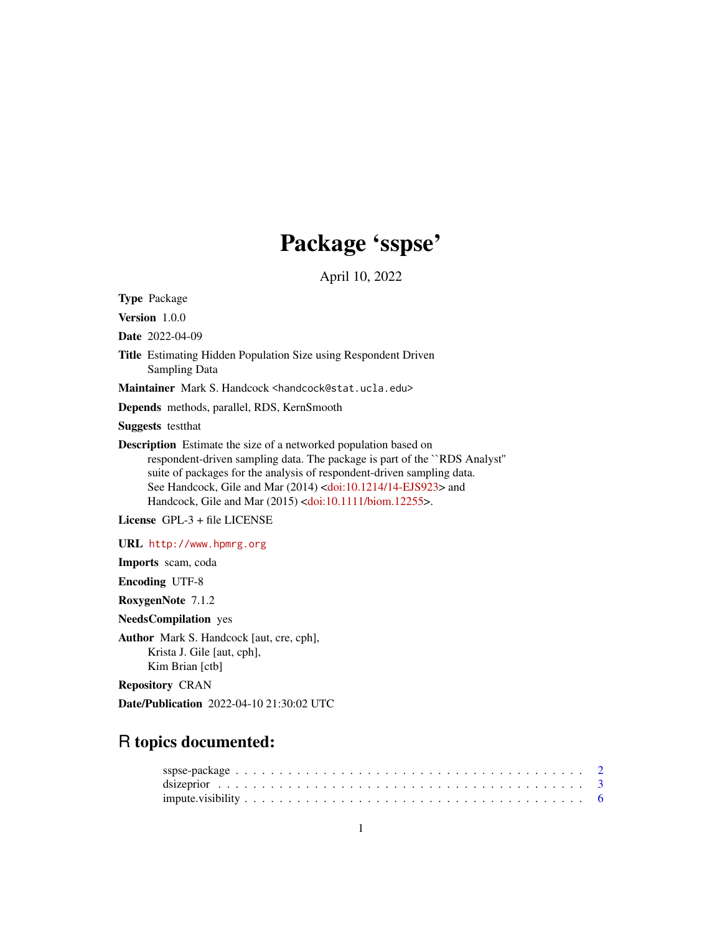## Package 'sspse'

April 10, 2022

<span id="page-0-0"></span>Type Package

Version 1.0.0

Date 2022-04-09

Title Estimating Hidden Population Size using Respondent Driven Sampling Data

Maintainer Mark S. Handcock <handcock@stat.ucla.edu>

Depends methods, parallel, RDS, KernSmooth

Suggests testthat

Description Estimate the size of a networked population based on respondent-driven sampling data. The package is part of the ``RDS Analyst'' suite of packages for the analysis of respondent-driven sampling data. See Handcock, Gile and Mar (2014) [<doi:10.1214/14-EJS923>](https://doi.org/10.1214/14-EJS923) and Handcock, Gile and Mar (2015) [<doi:10.1111/biom.12255>](https://doi.org/10.1111/biom.12255).

License GPL-3 + file LICENSE

URL <http://www.hpmrg.org>

Imports scam, coda

Encoding UTF-8

RoxygenNote 7.1.2

NeedsCompilation yes

Author Mark S. Handcock [aut, cre, cph], Krista J. Gile [aut, cph], Kim Brian [ctb]

Repository CRAN

Date/Publication 2022-04-10 21:30:02 UTC

## R topics documented: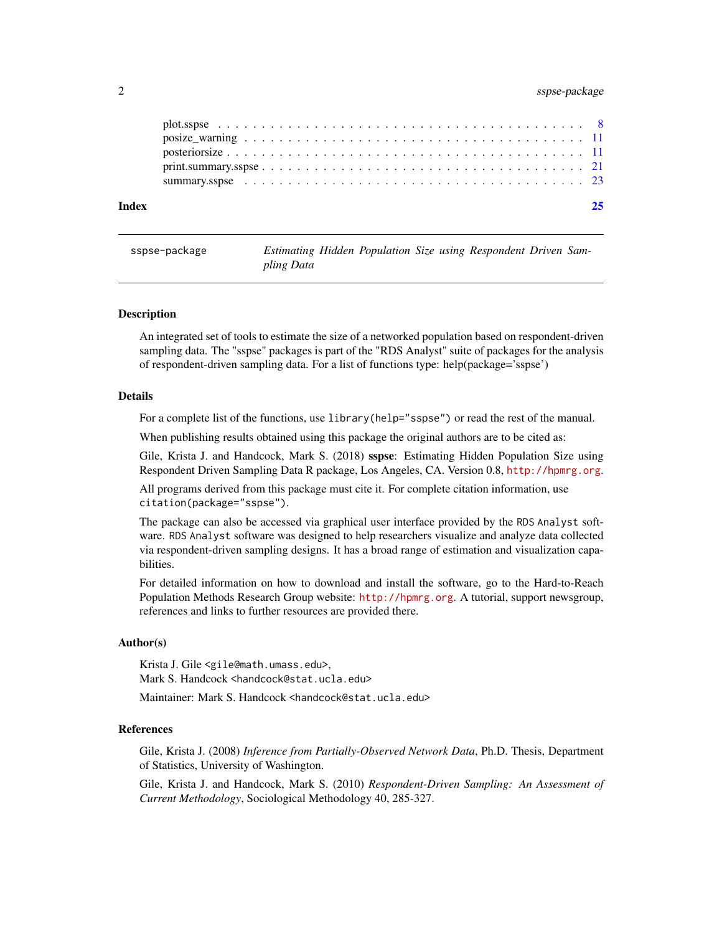## <span id="page-1-0"></span>2 sspse-package

| Index |  |
|-------|--|
|       |  |
|       |  |
|       |  |
|       |  |

| sspse-package |            |  |  | Estimating Hidden Population Size using Respondent Driven Sam- |  |
|---------------|------------|--|--|----------------------------------------------------------------|--|
|               | pling Data |  |  |                                                                |  |

#### Description

An integrated set of tools to estimate the size of a networked population based on respondent-driven sampling data. The "sspse" packages is part of the "RDS Analyst" suite of packages for the analysis of respondent-driven sampling data. For a list of functions type: help(package='sspse')

#### Details

For a complete list of the functions, use library(help="sspse") or read the rest of the manual.

When publishing results obtained using this package the original authors are to be cited as:

Gile, Krista J. and Handcock, Mark S. (2018) sspse: Estimating Hidden Population Size using Respondent Driven Sampling Data R package, Los Angeles, CA. Version 0.8, <http://hpmrg.org>.

All programs derived from this package must cite it. For complete citation information, use citation(package="sspse").

The package can also be accessed via graphical user interface provided by the RDS Analyst software. RDS Analyst software was designed to help researchers visualize and analyze data collected via respondent-driven sampling designs. It has a broad range of estimation and visualization capabilities.

For detailed information on how to download and install the software, go to the Hard-to-Reach Population Methods Research Group website: <http://hpmrg.org>. A tutorial, support newsgroup, references and links to further resources are provided there.

#### Author(s)

Krista J. Gile <gile@math.umass.edu>, Mark S. Handcock <handcock@stat.ucla.edu>

Maintainer: Mark S. Handcock <handcock@stat.ucla.edu>

#### References

Gile, Krista J. (2008) *Inference from Partially-Observed Network Data*, Ph.D. Thesis, Department of Statistics, University of Washington.

Gile, Krista J. and Handcock, Mark S. (2010) *Respondent-Driven Sampling: An Assessment of Current Methodology*, Sociological Methodology 40, 285-327.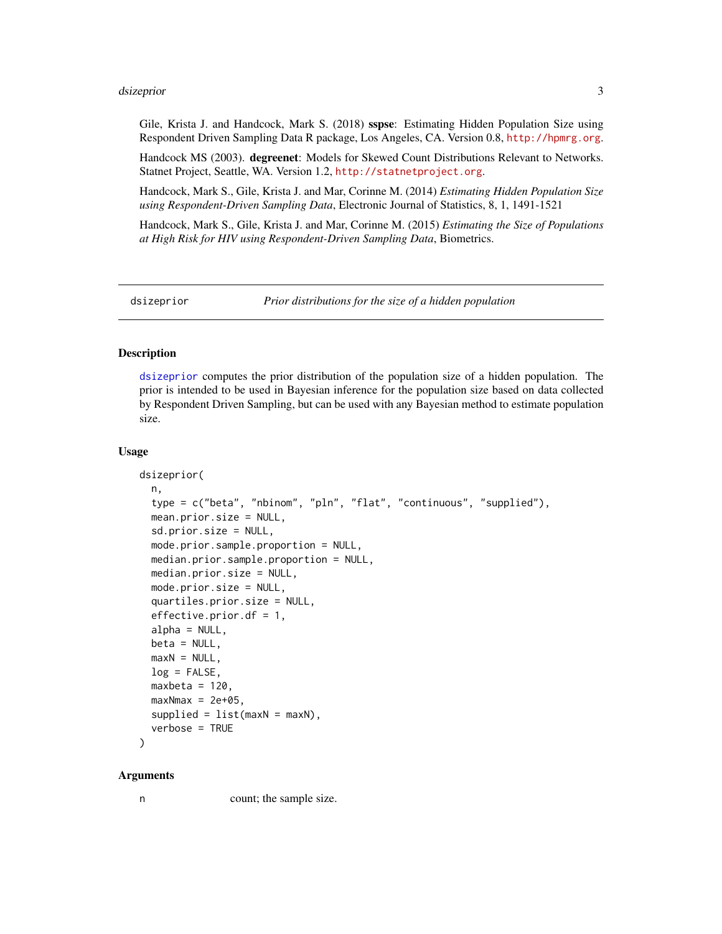#### <span id="page-2-0"></span>dsizeprior  $\overline{\phantom{a}}$  3

Gile, Krista J. and Handcock, Mark S. (2018) sspse: Estimating Hidden Population Size using Respondent Driven Sampling Data R package, Los Angeles, CA. Version 0.8, <http://hpmrg.org>.

Handcock MS (2003). degreenet: Models for Skewed Count Distributions Relevant to Networks. Statnet Project, Seattle, WA. Version 1.2, <http://statnetproject.org>.

Handcock, Mark S., Gile, Krista J. and Mar, Corinne M. (2014) *Estimating Hidden Population Size using Respondent-Driven Sampling Data*, Electronic Journal of Statistics, 8, 1, 1491-1521

Handcock, Mark S., Gile, Krista J. and Mar, Corinne M. (2015) *Estimating the Size of Populations at High Risk for HIV using Respondent-Driven Sampling Data*, Biometrics.

<span id="page-2-1"></span>

dsizeprior *Prior distributions for the size of a hidden population*

#### Description

[dsizeprior](#page-2-1) computes the prior distribution of the population size of a hidden population. The prior is intended to be used in Bayesian inference for the population size based on data collected by Respondent Driven Sampling, but can be used with any Bayesian method to estimate population size.

#### Usage

```
dsizeprior(
  n,
  type = c("beta", "nbinom", "pln", "flat", "continuous", "supplied"),
  mean.prior.size = NULL,
  sd.prior.size = NULL,
  mode.prior.sample.proportion = NULL,
  median.prior.sample.proportion = NULL,
  median.prior.size = NULL,
 mode.prior.size = NULL,
  quartiles.prior.size = NULL,
  effective.prior.df = 1,
  alpha = NULL,beta = NULL,maxN = NULL,log = FALSE,
  maxbeta = 120,
  maxNmax = 2e+05,
  supplied = list(maxN = maxN),
  verbose = TRUE
)
```
#### Arguments

n count; the sample size.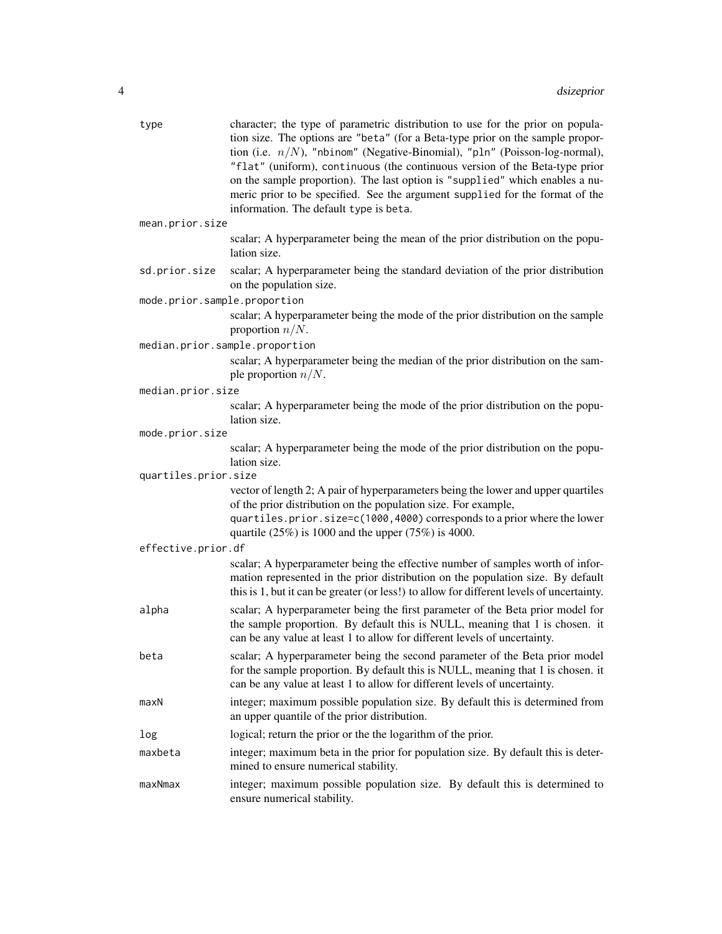| type                         | character; the type of parametric distribution to use for the prior on popula-<br>tion size. The options are "beta" (for a Beta-type prior on the sample propor-<br>tion (i.e. $n/N$ ), "nbinom" (Negative-Binomial), "pln" (Poisson-log-normal),<br>"flat" (uniform), continuous (the continuous version of the Beta-type prior<br>on the sample proportion). The last option is "supplied" which enables a nu-<br>meric prior to be specified. See the argument supplied for the format of the<br>information. The default type is beta. |
|------------------------------|--------------------------------------------------------------------------------------------------------------------------------------------------------------------------------------------------------------------------------------------------------------------------------------------------------------------------------------------------------------------------------------------------------------------------------------------------------------------------------------------------------------------------------------------|
| mean.prior.size              |                                                                                                                                                                                                                                                                                                                                                                                                                                                                                                                                            |
|                              | scalar; A hyperparameter being the mean of the prior distribution on the popu-<br>lation size.                                                                                                                                                                                                                                                                                                                                                                                                                                             |
| sd.prior.size                | scalar; A hyperparameter being the standard deviation of the prior distribution<br>on the population size.                                                                                                                                                                                                                                                                                                                                                                                                                                 |
| mode.prior.sample.proportion |                                                                                                                                                                                                                                                                                                                                                                                                                                                                                                                                            |
|                              | scalar; A hyperparameter being the mode of the prior distribution on the sample<br>proportion $n/N$ .                                                                                                                                                                                                                                                                                                                                                                                                                                      |
|                              | median.prior.sample.proportion                                                                                                                                                                                                                                                                                                                                                                                                                                                                                                             |
|                              | scalar; A hyperparameter being the median of the prior distribution on the sam-<br>ple proportion $n/N$ .                                                                                                                                                                                                                                                                                                                                                                                                                                  |
| median.prior.size            |                                                                                                                                                                                                                                                                                                                                                                                                                                                                                                                                            |
|                              | scalar; A hyperparameter being the mode of the prior distribution on the popu-<br>lation size.                                                                                                                                                                                                                                                                                                                                                                                                                                             |
| mode.prior.size              |                                                                                                                                                                                                                                                                                                                                                                                                                                                                                                                                            |
| quartiles.prior.size         | scalar; A hyperparameter being the mode of the prior distribution on the popu-<br>lation size.                                                                                                                                                                                                                                                                                                                                                                                                                                             |
|                              | vector of length 2; A pair of hyperparameters being the lower and upper quartiles<br>of the prior distribution on the population size. For example,<br>quartiles.prior.size=c(1000,4000) corresponds to a prior where the lower<br>quartile $(25\%)$ is 1000 and the upper $(75\%)$ is 4000.                                                                                                                                                                                                                                               |
| effective.prior.df           |                                                                                                                                                                                                                                                                                                                                                                                                                                                                                                                                            |
|                              | scalar; A hyperparameter being the effective number of samples worth of infor-<br>mation represented in the prior distribution on the population size. By default<br>this is 1, but it can be greater (or less!) to allow for different levels of uncertainty.                                                                                                                                                                                                                                                                             |
| alpha                        | scalar; A hyperparameter being the first parameter of the Beta prior model for<br>the sample proportion. By default this is NULL, meaning that 1 is chosen. it<br>can be any value at least 1 to allow for different levels of uncertainty.                                                                                                                                                                                                                                                                                                |
| beta                         | scalar; A hyperparameter being the second parameter of the Beta prior model<br>for the sample proportion. By default this is NULL, meaning that 1 is chosen. it<br>can be any value at least 1 to allow for different levels of uncertainty.                                                                                                                                                                                                                                                                                               |
| maxN                         | integer; maximum possible population size. By default this is determined from<br>an upper quantile of the prior distribution.                                                                                                                                                                                                                                                                                                                                                                                                              |
| log                          | logical; return the prior or the the logarithm of the prior.                                                                                                                                                                                                                                                                                                                                                                                                                                                                               |
| maxbeta                      | integer; maximum beta in the prior for population size. By default this is deter-<br>mined to ensure numerical stability.                                                                                                                                                                                                                                                                                                                                                                                                                  |
| maxNmax                      | integer; maximum possible population size. By default this is determined to<br>ensure numerical stability.                                                                                                                                                                                                                                                                                                                                                                                                                                 |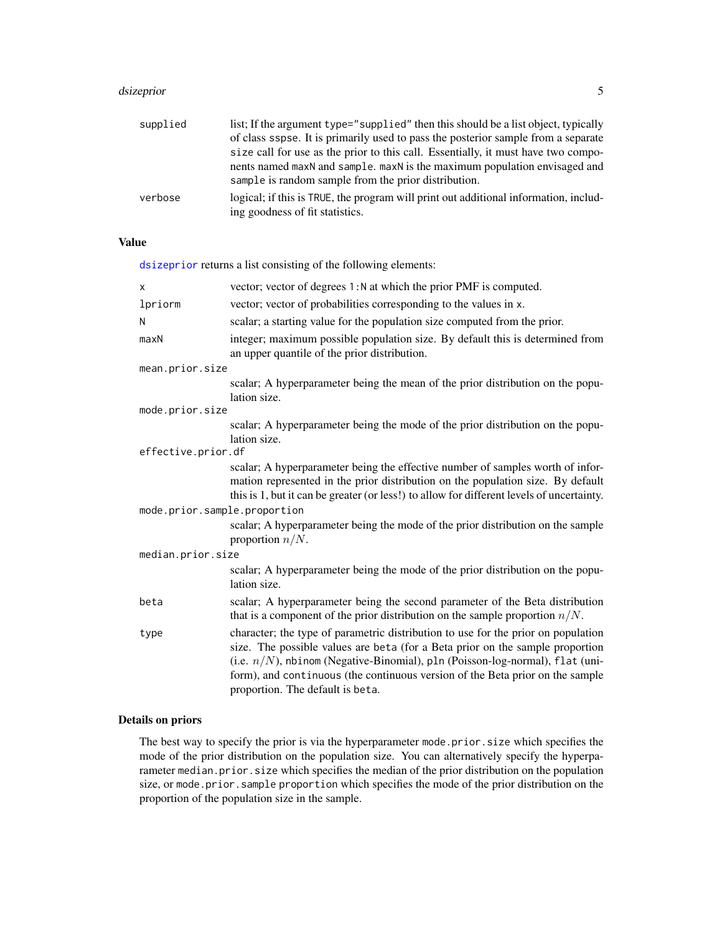#### <span id="page-4-0"></span>dsizeprior 55 to 55 to 55 to 55 to 55 to 55 to 55 to 55 to 55 to 55 to 55 to 55 to 55 to 55 to 55 to 55 to 55 to 55 to 55 to 55 to 55 to 55 to 55 to 55 to 55 to 55 to 55 to 55 to 55 to 55 to 55 to 55 to 55 to 55 to 55 to 5

| supplied | list; If the argument type="supplied" then this should be a list object, typically   |
|----------|--------------------------------------------------------------------------------------|
|          | of class sspse. It is primarily used to pass the posterior sample from a separate    |
|          | size call for use as the prior to this call. Essentially, it must have two compo-    |
|          | nents named maxN and sample. maxN is the maximum population envisaged and            |
|          | sample is random sample from the prior distribution.                                 |
| verbose  | logical; if this is TRUE, the program will print out additional information, includ- |
|          | ing goodness of fit statistics.                                                      |

## Value

[dsizeprior](#page-2-1) returns a list consisting of the following elements:

| X                            | vector; vector of degrees 1: N at which the prior PMF is computed.                                                                                                                                                                                                                                                                                                         |
|------------------------------|----------------------------------------------------------------------------------------------------------------------------------------------------------------------------------------------------------------------------------------------------------------------------------------------------------------------------------------------------------------------------|
| lpriorm                      | vector; vector of probabilities corresponding to the values in x.                                                                                                                                                                                                                                                                                                          |
| N                            | scalar; a starting value for the population size computed from the prior.                                                                                                                                                                                                                                                                                                  |
| maxN                         | integer; maximum possible population size. By default this is determined from<br>an upper quantile of the prior distribution.                                                                                                                                                                                                                                              |
| mean.prior.size              |                                                                                                                                                                                                                                                                                                                                                                            |
|                              | scalar; A hyperparameter being the mean of the prior distribution on the popu-<br>lation size.                                                                                                                                                                                                                                                                             |
| mode.prior.size              |                                                                                                                                                                                                                                                                                                                                                                            |
|                              | scalar; A hyperparameter being the mode of the prior distribution on the popu-<br>lation size.                                                                                                                                                                                                                                                                             |
| effective.prior.df           |                                                                                                                                                                                                                                                                                                                                                                            |
|                              | scalar; A hyperparameter being the effective number of samples worth of infor-<br>mation represented in the prior distribution on the population size. By default<br>this is 1, but it can be greater (or less!) to allow for different levels of uncertainty.                                                                                                             |
| mode.prior.sample.proportion |                                                                                                                                                                                                                                                                                                                                                                            |
|                              | scalar; A hyperparameter being the mode of the prior distribution on the sample<br>proportion $n/N$ .                                                                                                                                                                                                                                                                      |
| median.prior.size            |                                                                                                                                                                                                                                                                                                                                                                            |
|                              | scalar; A hyperparameter being the mode of the prior distribution on the popu-<br>lation size.                                                                                                                                                                                                                                                                             |
| beta                         | scalar; A hyperparameter being the second parameter of the Beta distribution<br>that is a component of the prior distribution on the sample proportion $n/N$ .                                                                                                                                                                                                             |
| type                         | character; the type of parametric distribution to use for the prior on population<br>size. The possible values are beta (for a Beta prior on the sample proportion<br>(i.e. $n/N$ ), nbinom (Negative-Binomial), pln (Poisson-log-normal), flat (uni-<br>form), and continuous (the continuous version of the Beta prior on the sample<br>proportion. The default is beta. |

## Details on priors

The best way to specify the prior is via the hyperparameter mode.prior.size which specifies the mode of the prior distribution on the population size. You can alternatively specify the hyperparameter median.prior.size which specifies the median of the prior distribution on the population size, or mode.prior.sample proportion which specifies the mode of the prior distribution on the proportion of the population size in the sample.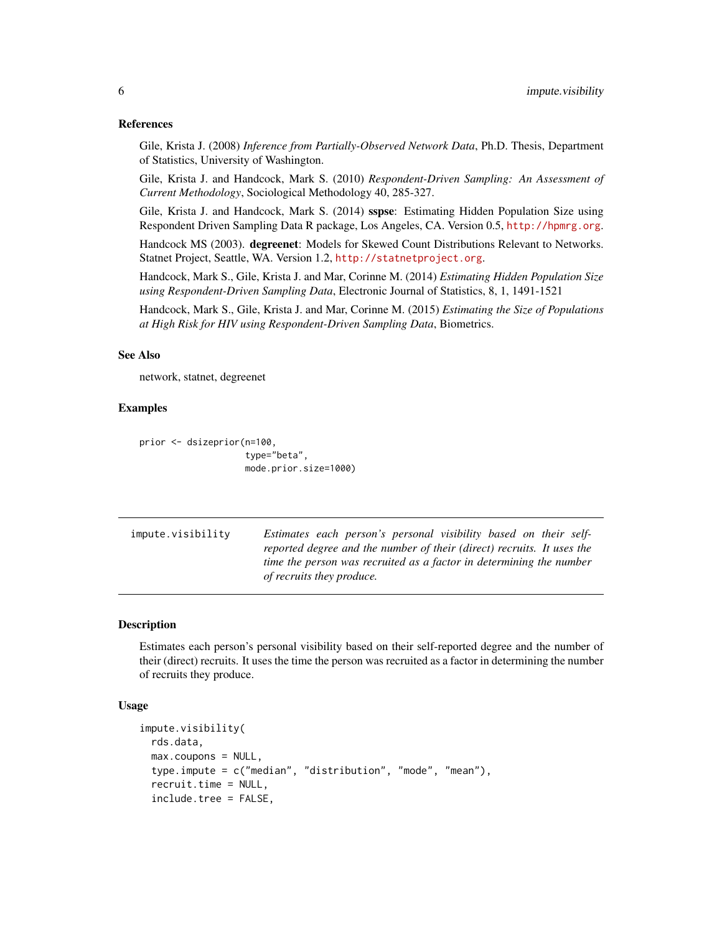#### References

Gile, Krista J. (2008) *Inference from Partially-Observed Network Data*, Ph.D. Thesis, Department of Statistics, University of Washington.

Gile, Krista J. and Handcock, Mark S. (2010) *Respondent-Driven Sampling: An Assessment of Current Methodology*, Sociological Methodology 40, 285-327.

Gile, Krista J. and Handcock, Mark S. (2014) sspse: Estimating Hidden Population Size using Respondent Driven Sampling Data R package, Los Angeles, CA. Version 0.5, <http://hpmrg.org>.

Handcock MS (2003). degreenet: Models for Skewed Count Distributions Relevant to Networks. Statnet Project, Seattle, WA. Version 1.2, <http://statnetproject.org>.

Handcock, Mark S., Gile, Krista J. and Mar, Corinne M. (2014) *Estimating Hidden Population Size using Respondent-Driven Sampling Data*, Electronic Journal of Statistics, 8, 1, 1491-1521

Handcock, Mark S., Gile, Krista J. and Mar, Corinne M. (2015) *Estimating the Size of Populations at High Risk for HIV using Respondent-Driven Sampling Data*, Biometrics.

#### See Also

network, statnet, degreenet

#### Examples

```
prior <- dsizeprior(n=100,
                    type="beta",
                    mode.prior.size=1000)
```

| impute.visibility | Estimates each person's personal visibility based on their self-       |
|-------------------|------------------------------------------------------------------------|
|                   | reported degree and the number of their (direct) recruits. It uses the |
|                   | time the person was recruited as a factor in determining the number    |
|                   | <i>of recruits they produce.</i>                                       |

#### Description

Estimates each person's personal visibility based on their self-reported degree and the number of their (direct) recruits. It uses the time the person was recruited as a factor in determining the number of recruits they produce.

#### Usage

```
impute.visibility(
 rds.data,
 max.coupons = NULL,
  type.impute = c("median", "distribution", "mode", "mean"),
  recruit.time = NULL,
  include.tree = FALSE,
```
<span id="page-5-0"></span>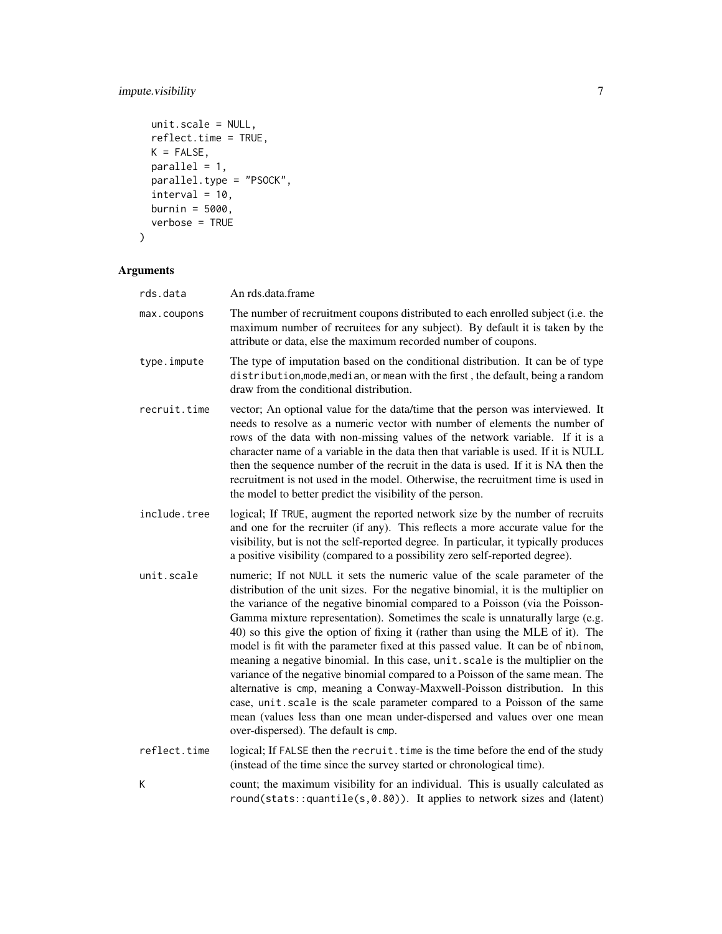## impute.visibility 7

```
unit.scale = NULL,
 reflect.time = TRUE,
 K = FALSE,parallel = 1,
 parallel.type = "PSOCK",
 interval = 10,burnin = 5000,
 verbose = TRUE
\mathcal{L}
```
## Arguments

| rds.data     | An rds.data.frame                                                                                                                                                                                                                                                                                                                                                                                                                                                                                                                                                                                                                                                                                                                                                                                                                                                                                                                                               |
|--------------|-----------------------------------------------------------------------------------------------------------------------------------------------------------------------------------------------------------------------------------------------------------------------------------------------------------------------------------------------------------------------------------------------------------------------------------------------------------------------------------------------------------------------------------------------------------------------------------------------------------------------------------------------------------------------------------------------------------------------------------------------------------------------------------------------------------------------------------------------------------------------------------------------------------------------------------------------------------------|
| max.coupons  | The number of recruitment coupons distributed to each enrolled subject (i.e. the<br>maximum number of recruitees for any subject). By default it is taken by the<br>attribute or data, else the maximum recorded number of coupons.                                                                                                                                                                                                                                                                                                                                                                                                                                                                                                                                                                                                                                                                                                                             |
| type.impute  | The type of imputation based on the conditional distribution. It can be of type<br>distribution, mode, median, or mean with the first, the default, being a random<br>draw from the conditional distribution.                                                                                                                                                                                                                                                                                                                                                                                                                                                                                                                                                                                                                                                                                                                                                   |
| recruit.time | vector; An optional value for the data/time that the person was interviewed. It<br>needs to resolve as a numeric vector with number of elements the number of<br>rows of the data with non-missing values of the network variable. If it is a<br>character name of a variable in the data then that variable is used. If it is NULL<br>then the sequence number of the recruit in the data is used. If it is NA then the<br>recruitment is not used in the model. Otherwise, the recruitment time is used in<br>the model to better predict the visibility of the person.                                                                                                                                                                                                                                                                                                                                                                                       |
| include.tree | logical; If TRUE, augment the reported network size by the number of recruits<br>and one for the recruiter (if any). This reflects a more accurate value for the<br>visibility, but is not the self-reported degree. In particular, it typically produces<br>a positive visibility (compared to a possibility zero self-reported degree).                                                                                                                                                                                                                                                                                                                                                                                                                                                                                                                                                                                                                       |
| unit.scale   | numeric; If not NULL it sets the numeric value of the scale parameter of the<br>distribution of the unit sizes. For the negative binomial, it is the multiplier on<br>the variance of the negative binomial compared to a Poisson (via the Poisson-<br>Gamma mixture representation). Sometimes the scale is unnaturally large (e.g.<br>40) so this give the option of fixing it (rather than using the MLE of it). The<br>model is fit with the parameter fixed at this passed value. It can be of nbinom,<br>meaning a negative binomial. In this case, unit . scale is the multiplier on the<br>variance of the negative binomial compared to a Poisson of the same mean. The<br>alternative is cmp, meaning a Conway-Maxwell-Poisson distribution. In this<br>case, unit.scale is the scale parameter compared to a Poisson of the same<br>mean (values less than one mean under-dispersed and values over one mean<br>over-dispersed). The default is cmp. |
| reflect.time | logical; If FALSE then the recruit. time is the time before the end of the study<br>(instead of the time since the survey started or chronological time).                                                                                                                                                                                                                                                                                                                                                                                                                                                                                                                                                                                                                                                                                                                                                                                                       |
| Κ            | count; the maximum visibility for an individual. This is usually calculated as                                                                                                                                                                                                                                                                                                                                                                                                                                                                                                                                                                                                                                                                                                                                                                                                                                                                                  |

round(stats::quantile(s,0.80)). It applies to network sizes and (latent)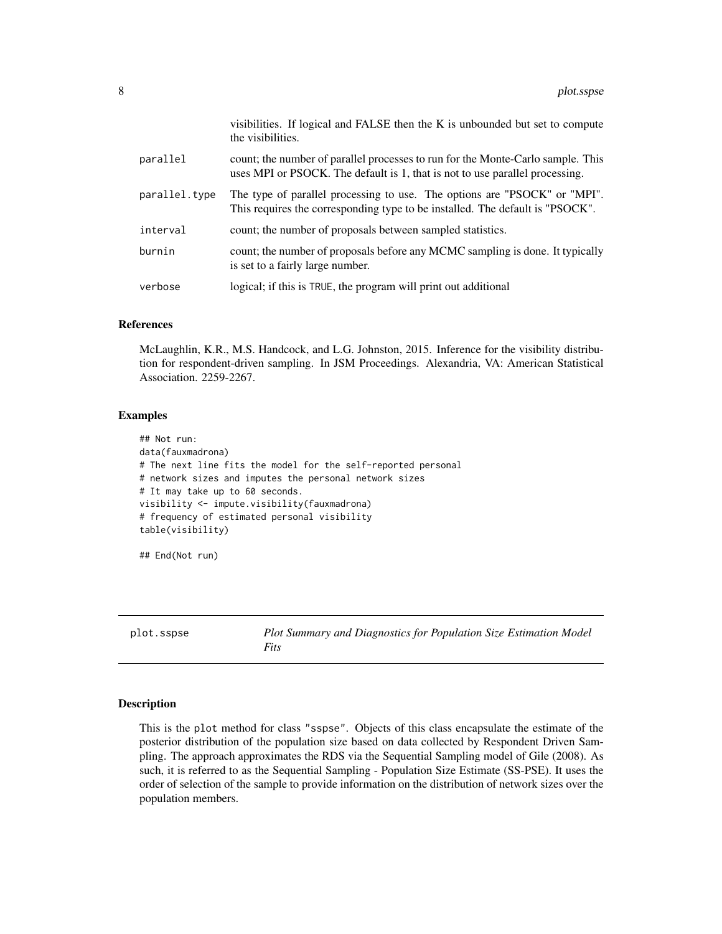<span id="page-7-0"></span>

|               | visibilities. If logical and FALSE then the K is unbounded but set to compute<br>the visibilities.                                                              |
|---------------|-----------------------------------------------------------------------------------------------------------------------------------------------------------------|
| parallel      | count; the number of parallel processes to run for the Monte-Carlo sample. This<br>uses MPI or PSOCK. The default is 1, that is not to use parallel processing. |
| parallel.type | The type of parallel processing to use. The options are "PSOCK" or "MPI".<br>This requires the corresponding type to be installed. The default is "PSOCK".      |
| interval      | count; the number of proposals between sampled statistics.                                                                                                      |
| burnin        | count; the number of proposals before any MCMC sampling is done. It typically<br>is set to a fairly large number.                                               |
| verbose       | logical; if this is TRUE, the program will print out additional                                                                                                 |

## References

McLaughlin, K.R., M.S. Handcock, and L.G. Johnston, 2015. Inference for the visibility distribution for respondent-driven sampling. In JSM Proceedings. Alexandria, VA: American Statistical Association. 2259-2267.

### Examples

```
## Not run:
data(fauxmadrona)
# The next line fits the model for the self-reported personal
# network sizes and imputes the personal network sizes
# It may take up to 60 seconds.
visibility <- impute.visibility(fauxmadrona)
# frequency of estimated personal visibility
table(visibility)
```
## End(Not run)

plot.sspse *Plot Summary and Diagnostics for Population Size Estimation Model Fits*

#### Description

This is the plot method for class "sspse". Objects of this class encapsulate the estimate of the posterior distribution of the population size based on data collected by Respondent Driven Sampling. The approach approximates the RDS via the Sequential Sampling model of Gile (2008). As such, it is referred to as the Sequential Sampling - Population Size Estimate (SS-PSE). It uses the order of selection of the sample to provide information on the distribution of network sizes over the population members.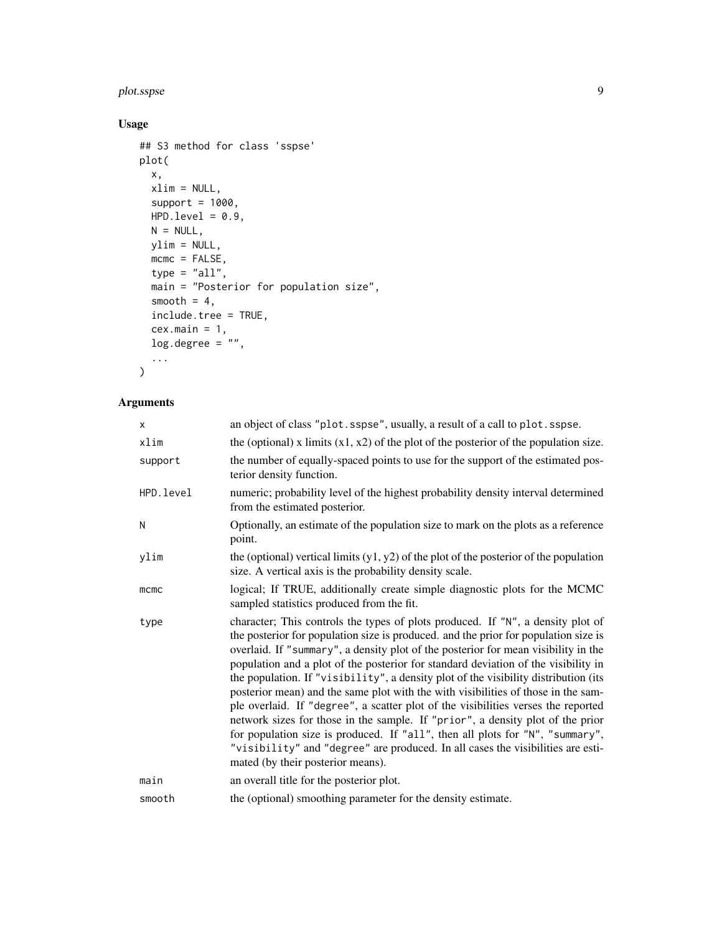#### plot.sspse 99

## Usage

```
## S3 method for class 'sspse'
plot(
  x,
  xlim = NULL,
  support = 1000,HPD.level = 0.9,
  N = NULL,ylim = NULL,
  mcmc = FALSE,
  type = "all",main = "Posterior for population size",
  smooth = 4,
  include.tree = TRUE,
  cex.main = 1,log.degree = "",
  ...
\mathcal{L}
```
## Arguments

| X           | an object of class "plot.sspse", usually, a result of a call to plot.sspse.                                                                                                                                                                                                                                                                                                                                                                                                                                                                                                                                                                                                                                                                                                                                                                                                                                    |
|-------------|----------------------------------------------------------------------------------------------------------------------------------------------------------------------------------------------------------------------------------------------------------------------------------------------------------------------------------------------------------------------------------------------------------------------------------------------------------------------------------------------------------------------------------------------------------------------------------------------------------------------------------------------------------------------------------------------------------------------------------------------------------------------------------------------------------------------------------------------------------------------------------------------------------------|
| xlim        | the (optional) x limits $(x1, x2)$ of the plot of the posterior of the population size.                                                                                                                                                                                                                                                                                                                                                                                                                                                                                                                                                                                                                                                                                                                                                                                                                        |
| support     | the number of equally-spaced points to use for the support of the estimated pos-<br>terior density function.                                                                                                                                                                                                                                                                                                                                                                                                                                                                                                                                                                                                                                                                                                                                                                                                   |
| HPD.level   | numeric; probability level of the highest probability density interval determined<br>from the estimated posterior.                                                                                                                                                                                                                                                                                                                                                                                                                                                                                                                                                                                                                                                                                                                                                                                             |
| N           | Optionally, an estimate of the population size to mark on the plots as a reference<br>point.                                                                                                                                                                                                                                                                                                                                                                                                                                                                                                                                                                                                                                                                                                                                                                                                                   |
| ylim        | the (optional) vertical limits $(y1, y2)$ of the plot of the posterior of the population<br>size. A vertical axis is the probability density scale.                                                                                                                                                                                                                                                                                                                                                                                                                                                                                                                                                                                                                                                                                                                                                            |
| $m$ c $m$ c | logical; If TRUE, additionally create simple diagnostic plots for the MCMC<br>sampled statistics produced from the fit.                                                                                                                                                                                                                                                                                                                                                                                                                                                                                                                                                                                                                                                                                                                                                                                        |
| type        | character; This controls the types of plots produced. If "N", a density plot of<br>the posterior for population size is produced. and the prior for population size is<br>overlaid. If "summary", a density plot of the posterior for mean visibility in the<br>population and a plot of the posterior for standard deviation of the visibility in<br>the population. If "visibility", a density plot of the visibility distribution (its<br>posterior mean) and the same plot with the with visibilities of those in the sam-<br>ple overlaid. If "degree", a scatter plot of the visibilities verses the reported<br>network sizes for those in the sample. If "prior", a density plot of the prior<br>for population size is produced. If "all", then all plots for "N", "summary",<br>"visibility" and "degree" are produced. In all cases the visibilities are esti-<br>mated (by their posterior means). |
| main        | an overall title for the posterior plot.                                                                                                                                                                                                                                                                                                                                                                                                                                                                                                                                                                                                                                                                                                                                                                                                                                                                       |
| smooth      | the (optional) smoothing parameter for the density estimate.                                                                                                                                                                                                                                                                                                                                                                                                                                                                                                                                                                                                                                                                                                                                                                                                                                                   |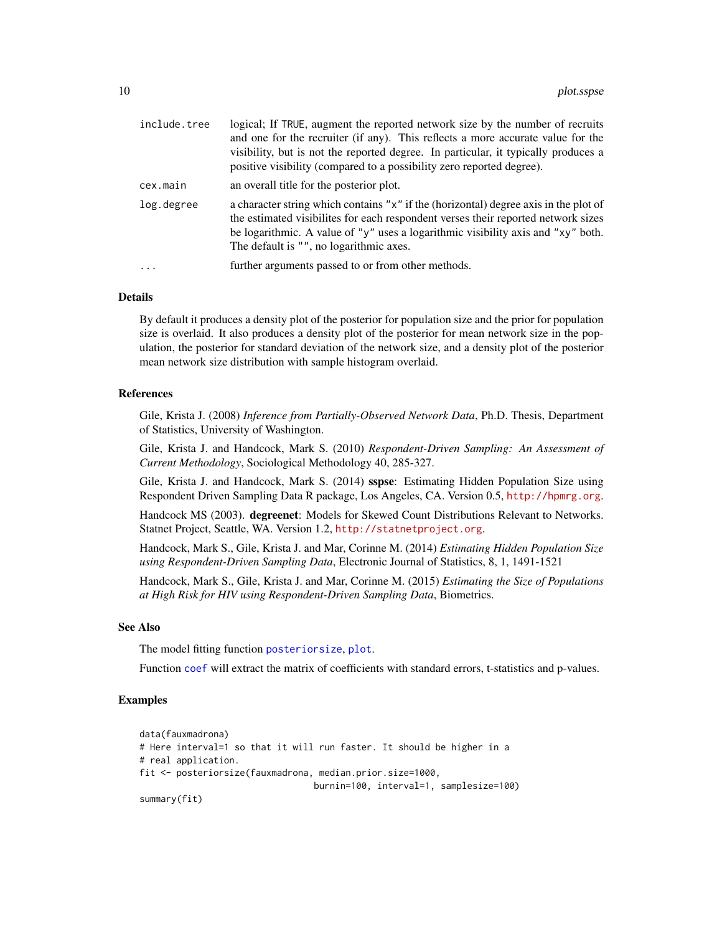<span id="page-9-0"></span>

| include.tree      | logical; If TRUE, augment the reported network size by the number of recruits<br>and one for the recruiter (if any). This reflects a more accurate value for the<br>visibility, but is not the reported degree. In particular, it typically produces a<br>positive visibility (compared to a possibility zero reported degree). |
|-------------------|---------------------------------------------------------------------------------------------------------------------------------------------------------------------------------------------------------------------------------------------------------------------------------------------------------------------------------|
| cex.main          | an overall title for the posterior plot.                                                                                                                                                                                                                                                                                        |
| log.degree        | a character string which contains "x" if the (horizontal) degree axis in the plot of<br>the estimated visibilities for each respondent verses their reported network sizes<br>be logarithmic. A value of "y" uses a logarithmic visibility axis and "xy" both.<br>The default is "", no logarithmic axes.                       |
| $\cdot\cdot\cdot$ | further arguments passed to or from other methods.                                                                                                                                                                                                                                                                              |

#### Details

By default it produces a density plot of the posterior for population size and the prior for population size is overlaid. It also produces a density plot of the posterior for mean network size in the population, the posterior for standard deviation of the network size, and a density plot of the posterior mean network size distribution with sample histogram overlaid.

#### References

Gile, Krista J. (2008) *Inference from Partially-Observed Network Data*, Ph.D. Thesis, Department of Statistics, University of Washington.

Gile, Krista J. and Handcock, Mark S. (2010) *Respondent-Driven Sampling: An Assessment of Current Methodology*, Sociological Methodology 40, 285-327.

Gile, Krista J. and Handcock, Mark S. (2014) sspse: Estimating Hidden Population Size using Respondent Driven Sampling Data R package, Los Angeles, CA. Version 0.5, <http://hpmrg.org>.

Handcock MS (2003). degreenet: Models for Skewed Count Distributions Relevant to Networks. Statnet Project, Seattle, WA. Version 1.2, <http://statnetproject.org>.

Handcock, Mark S., Gile, Krista J. and Mar, Corinne M. (2014) *Estimating Hidden Population Size using Respondent-Driven Sampling Data*, Electronic Journal of Statistics, 8, 1, 1491-1521

Handcock, Mark S., Gile, Krista J. and Mar, Corinne M. (2015) *Estimating the Size of Populations at High Risk for HIV using Respondent-Driven Sampling Data*, Biometrics.

#### See Also

The model fitting function [posteriorsize](#page-10-1), [plot](#page-0-0).

Function [coef](#page-0-0) will extract the matrix of coefficients with standard errors, t-statistics and p-values.

#### Examples

```
data(fauxmadrona)
# Here interval=1 so that it will run faster. It should be higher in a
# real application.
fit <- posteriorsize(fauxmadrona, median.prior.size=1000,
                                 burnin=100, interval=1, samplesize=100)
summary(fit)
```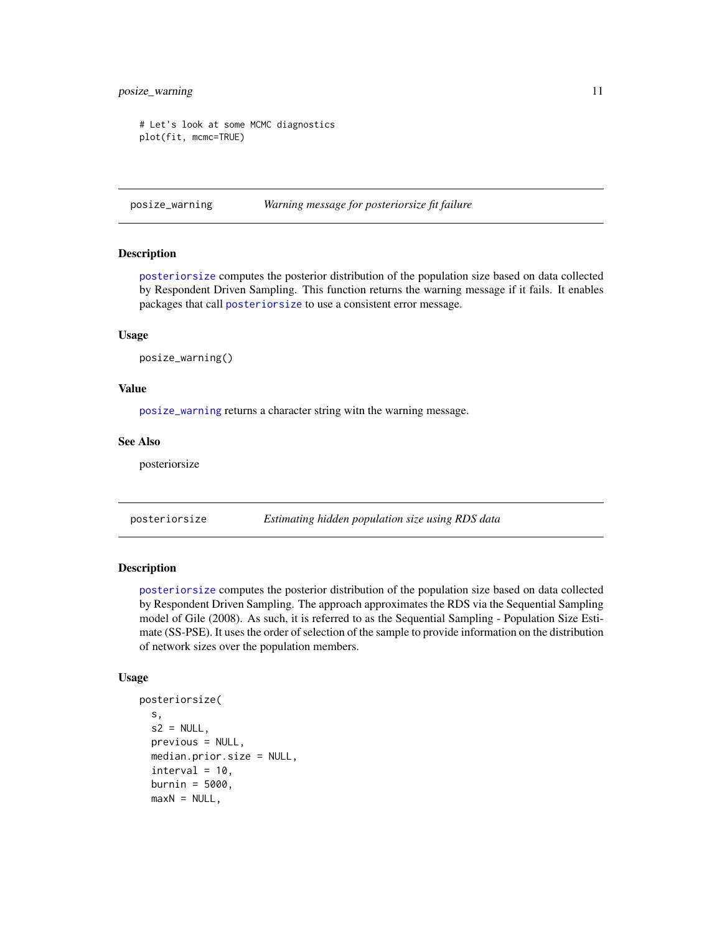## <span id="page-10-0"></span>posize\_warning 11

```
# Let's look at some MCMC diagnostics
plot(fit, mcmc=TRUE)
```
<span id="page-10-2"></span>posize\_warning *Warning message for posteriorsize fit failure*

#### Description

[posteriorsize](#page-10-1) computes the posterior distribution of the population size based on data collected by Respondent Driven Sampling. This function returns the warning message if it fails. It enables packages that call [posteriorsize](#page-10-1) to use a consistent error message.

#### Usage

```
posize_warning()
```
#### Value

[posize\\_warning](#page-10-2) returns a character string witn the warning message.

#### See Also

posteriorsize

<span id="page-10-1"></span>posteriorsize *Estimating hidden population size using RDS data*

#### Description

[posteriorsize](#page-10-1) computes the posterior distribution of the population size based on data collected by Respondent Driven Sampling. The approach approximates the RDS via the Sequential Sampling model of Gile (2008). As such, it is referred to as the Sequential Sampling - Population Size Estimate (SS-PSE). It uses the order of selection of the sample to provide information on the distribution of network sizes over the population members.

#### Usage

```
posteriorsize(
  s,
  s2 = NULL,
 previous = NULL,
 median.prior.size = NULL,
  interval = 10,burnin = 5000,
 maxN = NULL,
```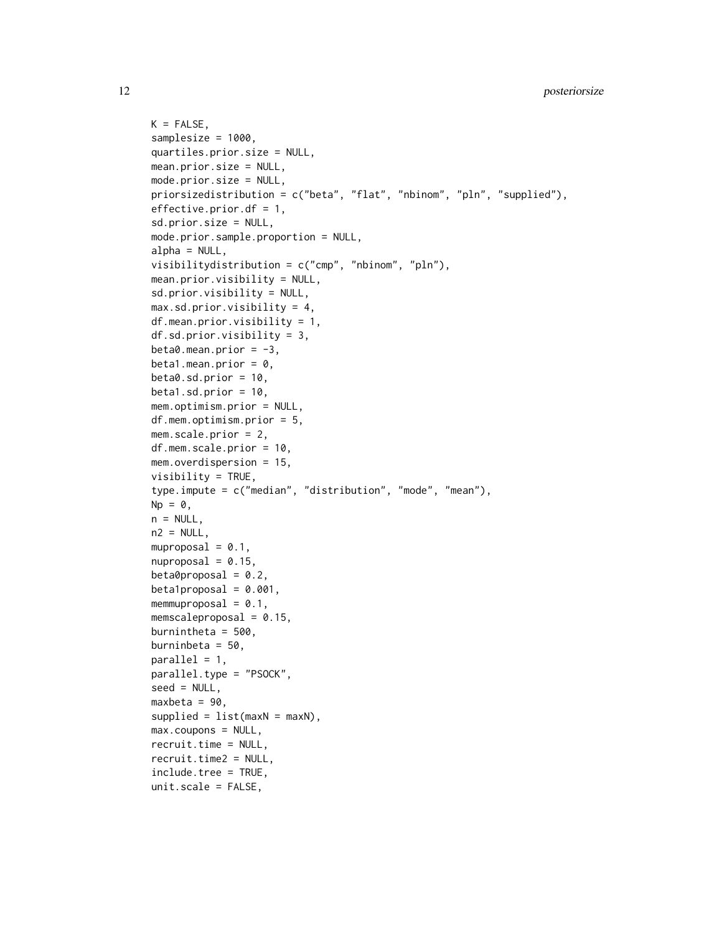```
K = FALSE,
samplesize = 1000,
quartiles.prior.size = NULL,
mean.prior.size = NULL,
mode.prior.size = NULL,
priorsizedistribution = c("beta", "flat", "nbinom", "pln", "supplied"),
effective.prior.df = 1,
sd.prior.size = NULL,
mode.prior.sample.proportion = NULL,
alpha = NULL,visibilitydistribution = c("cmp", "nbinom", "pln"),
mean.prior.visibility = NULL,
sd.prior.visibility = NULL,
max. sd.prior.visibility = 4,
df.mean.prior.visibility = 1,
df.sd.prior.visibility = 3,
beta0.mean.prior = -3,
beta1.mean.prior = 0,
beta. sd.prior = 10,beta1.sd.prior = 10.
mem.optimism.prior = NULL,
df.mem.optimism.prior = 5,
mem.scale.prior = 2,
df.mem.scale.prior = 10,
mem.overdispersion = 15,
visibility = TRUE,
type.impute = c("median", "distribution", "mode", "mean"),
Np = 0,
n = NULL,n2 = NULL,muproposal = 0.1,
nuproposal = 0.15,
beta0proposal = 0.2,
beta1proposal = 0.001,
memmuproposal = 0.1,
memscaleproposal = 0.15,
burnintheta = 500.
burninbeta = 50,
parallel = 1,
parallel.type = "PSOCK",
seed = NULL,
maxbeta = 90,
supplied = list(maxN = maxN),max.coupons = NULL,recruit.time = NULL,
recruit.time2 = NULL,
include.tree = TRUE,
unitscale = FALSE,
```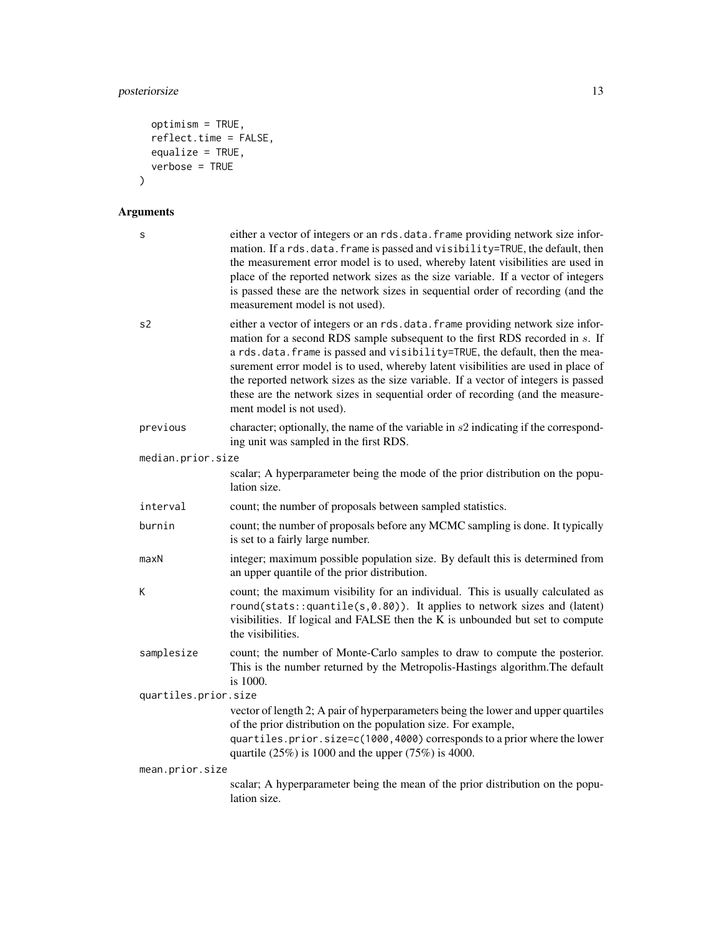## posteriorsize 13

```
optimism = TRUE,
  reflect.time = FALSE,
 equalize = TRUE,
  verbose = TRUE
\mathcal{L}
```
## Arguments

| S                    | either a vector of integers or an rds.data.frame providing network size infor-<br>mation. If a rds.data.frame is passed and visibility=TRUE, the default, then<br>the measurement error model is to used, whereby latent visibilities are used in<br>place of the reported network sizes as the size variable. If a vector of integers<br>is passed these are the network sizes in sequential order of recording (and the<br>measurement model is not used).                                                                          |  |  |
|----------------------|---------------------------------------------------------------------------------------------------------------------------------------------------------------------------------------------------------------------------------------------------------------------------------------------------------------------------------------------------------------------------------------------------------------------------------------------------------------------------------------------------------------------------------------|--|--|
| s2                   | either a vector of integers or an rds.data.frame providing network size infor-<br>mation for a second RDS sample subsequent to the first RDS recorded in s. If<br>a rds.data.frame is passed and visibility=TRUE, the default, then the mea-<br>surement error model is to used, whereby latent visibilities are used in place of<br>the reported network sizes as the size variable. If a vector of integers is passed<br>these are the network sizes in sequential order of recording (and the measure-<br>ment model is not used). |  |  |
| previous             | character; optionally, the name of the variable in $s2$ indicating if the correspond-<br>ing unit was sampled in the first RDS.                                                                                                                                                                                                                                                                                                                                                                                                       |  |  |
| median.prior.size    |                                                                                                                                                                                                                                                                                                                                                                                                                                                                                                                                       |  |  |
|                      | scalar; A hyperparameter being the mode of the prior distribution on the popu-<br>lation size.                                                                                                                                                                                                                                                                                                                                                                                                                                        |  |  |
| interval             | count; the number of proposals between sampled statistics.                                                                                                                                                                                                                                                                                                                                                                                                                                                                            |  |  |
| burnin               | count; the number of proposals before any MCMC sampling is done. It typically<br>is set to a fairly large number.                                                                                                                                                                                                                                                                                                                                                                                                                     |  |  |
| maxN                 | integer; maximum possible population size. By default this is determined from<br>an upper quantile of the prior distribution.                                                                                                                                                                                                                                                                                                                                                                                                         |  |  |
| К                    | count; the maximum visibility for an individual. This is usually calculated as<br>round(stats:: quantile(s,0.80)). It applies to network sizes and (latent)<br>visibilities. If logical and FALSE then the K is unbounded but set to compute<br>the visibilities.                                                                                                                                                                                                                                                                     |  |  |
| samplesize           | count; the number of Monte-Carlo samples to draw to compute the posterior.<br>This is the number returned by the Metropolis-Hastings algorithm. The default<br>is 1000.                                                                                                                                                                                                                                                                                                                                                               |  |  |
| quartiles.prior.size |                                                                                                                                                                                                                                                                                                                                                                                                                                                                                                                                       |  |  |
|                      | vector of length 2; A pair of hyperparameters being the lower and upper quartiles<br>of the prior distribution on the population size. For example,<br>quartiles.prior.size=c(1000,4000) corresponds to a prior where the lower<br>quartile $(25\%)$ is 1000 and the upper $(75\%)$ is 4000.                                                                                                                                                                                                                                          |  |  |
| mean.prior.size      |                                                                                                                                                                                                                                                                                                                                                                                                                                                                                                                                       |  |  |
|                      | scalar; A hyperparameter being the mean of the prior distribution on the popu-<br>lation size.                                                                                                                                                                                                                                                                                                                                                                                                                                        |  |  |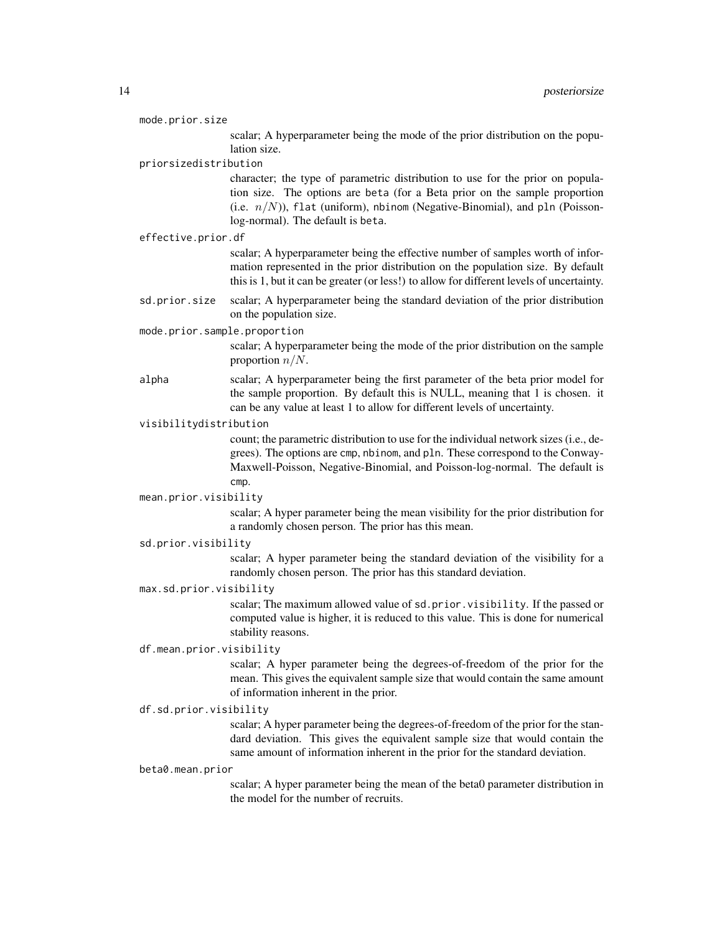| mode.prior.size |  |
|-----------------|--|

scalar; A hyperparameter being the mode of the prior distribution on the population size.

priorsizedistribution

character; the type of parametric distribution to use for the prior on population size. The options are beta (for a Beta prior on the sample proportion (i.e.  $n/N$ )), flat (uniform), nbinom (Negative-Binomial), and pln (Poissonlog-normal). The default is beta.

#### effective.prior.df

scalar; A hyperparameter being the effective number of samples worth of information represented in the prior distribution on the population size. By default this is 1, but it can be greater (or less!) to allow for different levels of uncertainty.

sd.prior.size scalar; A hyperparameter being the standard deviation of the prior distribution on the population size.

#### mode.prior.sample.proportion

scalar; A hyperparameter being the mode of the prior distribution on the sample proportion  $n/N$ .

alpha scalar; A hyperparameter being the first parameter of the beta prior model for the sample proportion. By default this is NULL, meaning that 1 is chosen. it can be any value at least 1 to allow for different levels of uncertainty.

#### visibilitydistribution

count; the parametric distribution to use for the individual network sizes (i.e., degrees). The options are cmp, nbinom, and pln. These correspond to the Conway-Maxwell-Poisson, Negative-Binomial, and Poisson-log-normal. The default is cmp.

#### mean.prior.visibility

scalar; A hyper parameter being the mean visibility for the prior distribution for a randomly chosen person. The prior has this mean.

## sd.prior.visibility

scalar; A hyper parameter being the standard deviation of the visibility for a randomly chosen person. The prior has this standard deviation.

#### max.sd.prior.visibility

scalar; The maximum allowed value of sd.prior.visibility. If the passed or computed value is higher, it is reduced to this value. This is done for numerical stability reasons.

#### df.mean.prior.visibility

scalar; A hyper parameter being the degrees-of-freedom of the prior for the mean. This gives the equivalent sample size that would contain the same amount of information inherent in the prior.

#### df.sd.prior.visibility

scalar; A hyper parameter being the degrees-of-freedom of the prior for the standard deviation. This gives the equivalent sample size that would contain the same amount of information inherent in the prior for the standard deviation.

#### beta0.mean.prior

scalar; A hyper parameter being the mean of the beta0 parameter distribution in the model for the number of recruits.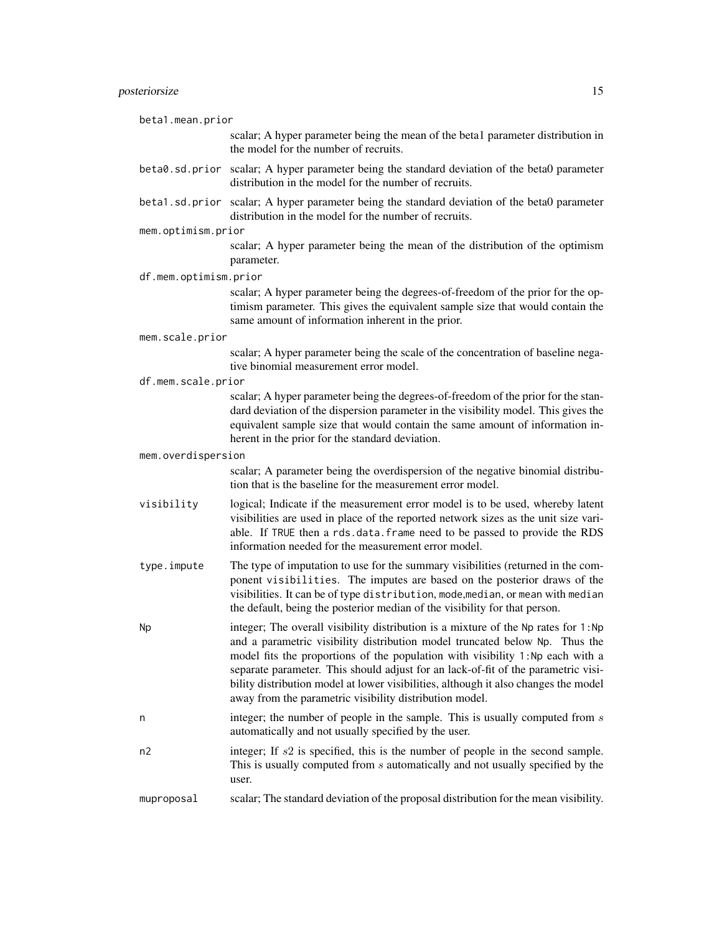## posteriorsize 15

| beta1.mean.prior      |                                                                                                                                                                                                                                                                                                                                                                                                                                                                                           |
|-----------------------|-------------------------------------------------------------------------------------------------------------------------------------------------------------------------------------------------------------------------------------------------------------------------------------------------------------------------------------------------------------------------------------------------------------------------------------------------------------------------------------------|
|                       | scalar; A hyper parameter being the mean of the beta1 parameter distribution in<br>the model for the number of recruits.                                                                                                                                                                                                                                                                                                                                                                  |
|                       | beta0.sd.prior scalar; A hyper parameter being the standard deviation of the beta0 parameter<br>distribution in the model for the number of recruits.                                                                                                                                                                                                                                                                                                                                     |
|                       | beta1.sd.prior scalar; A hyper parameter being the standard deviation of the beta0 parameter<br>distribution in the model for the number of recruits.                                                                                                                                                                                                                                                                                                                                     |
| mem.optimism.prior    |                                                                                                                                                                                                                                                                                                                                                                                                                                                                                           |
|                       | scalar; A hyper parameter being the mean of the distribution of the optimism<br>parameter.                                                                                                                                                                                                                                                                                                                                                                                                |
| df.mem.optimism.prior |                                                                                                                                                                                                                                                                                                                                                                                                                                                                                           |
|                       | scalar; A hyper parameter being the degrees-of-freedom of the prior for the op-<br>timism parameter. This gives the equivalent sample size that would contain the<br>same amount of information inherent in the prior.                                                                                                                                                                                                                                                                    |
| mem.scale.prior       |                                                                                                                                                                                                                                                                                                                                                                                                                                                                                           |
|                       | scalar; A hyper parameter being the scale of the concentration of baseline nega-<br>tive binomial measurement error model.                                                                                                                                                                                                                                                                                                                                                                |
| df.mem.scale.prior    |                                                                                                                                                                                                                                                                                                                                                                                                                                                                                           |
|                       | scalar; A hyper parameter being the degrees-of-freedom of the prior for the stan-<br>dard deviation of the dispersion parameter in the visibility model. This gives the<br>equivalent sample size that would contain the same amount of information in-<br>herent in the prior for the standard deviation.                                                                                                                                                                                |
| mem.overdispersion    |                                                                                                                                                                                                                                                                                                                                                                                                                                                                                           |
|                       | scalar; A parameter being the overdispersion of the negative binomial distribu-<br>tion that is the baseline for the measurement error model.                                                                                                                                                                                                                                                                                                                                             |
| visibility            | logical; Indicate if the measurement error model is to be used, whereby latent<br>visibilities are used in place of the reported network sizes as the unit size vari-<br>able. If TRUE then a rds.data.frame need to be passed to provide the RDS<br>information needed for the measurement error model.                                                                                                                                                                                  |
| type.impute           | The type of imputation to use for the summary visibilities (returned in the com-<br>ponent visibilities. The imputes are based on the posterior draws of the<br>visibilities. It can be of type distribution, mode, median, or mean with median<br>the default, being the posterior median of the visibility for that person.                                                                                                                                                             |
| Np                    | integer; The overall visibility distribution is a mixture of the Np rates for 1:Np<br>and a parametric visibility distribution model truncated below Np. Thus the<br>model fits the proportions of the population with visibility 1:Np each with a<br>separate parameter. This should adjust for an lack-of-fit of the parametric visi-<br>bility distribution model at lower visibilities, although it also changes the model<br>away from the parametric visibility distribution model. |
| n                     | integer; the number of people in the sample. This is usually computed from $s$<br>automatically and not usually specified by the user.                                                                                                                                                                                                                                                                                                                                                    |
| n2                    | integer; If $s2$ is specified, this is the number of people in the second sample.<br>This is usually computed from $s$ automatically and not usually specified by the<br>user.                                                                                                                                                                                                                                                                                                            |
| muproposal            | scalar; The standard deviation of the proposal distribution for the mean visibility.                                                                                                                                                                                                                                                                                                                                                                                                      |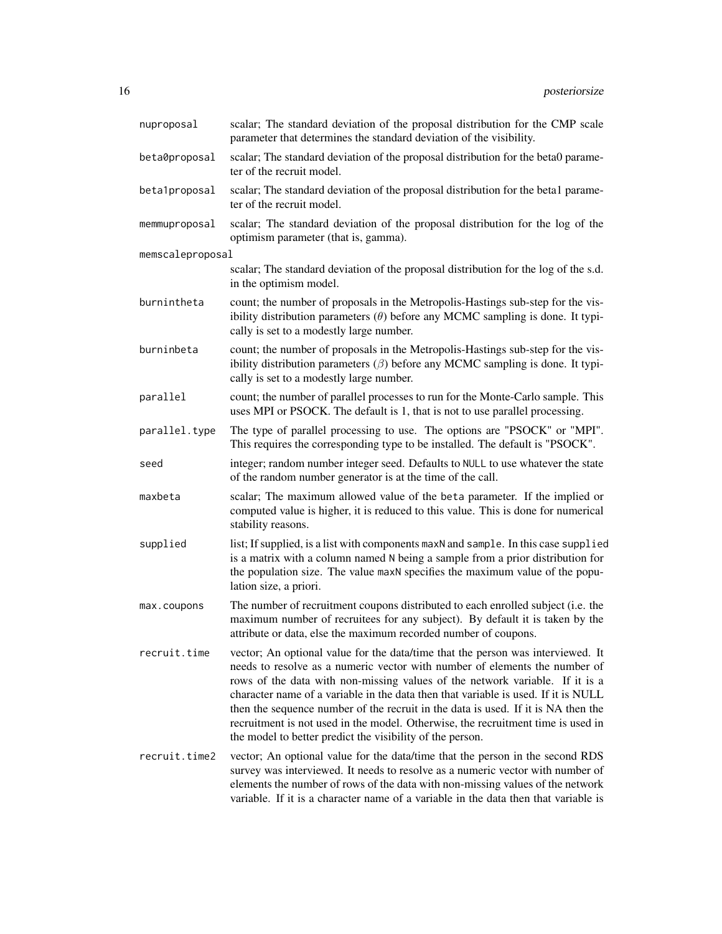| nuproposal       | scalar; The standard deviation of the proposal distribution for the CMP scale<br>parameter that determines the standard deviation of the visibility.                                                                                                                                                                                                                                                                                                                                                                                                                      |
|------------------|---------------------------------------------------------------------------------------------------------------------------------------------------------------------------------------------------------------------------------------------------------------------------------------------------------------------------------------------------------------------------------------------------------------------------------------------------------------------------------------------------------------------------------------------------------------------------|
| beta0proposal    | scalar; The standard deviation of the proposal distribution for the beta0 parame-<br>ter of the recruit model.                                                                                                                                                                                                                                                                                                                                                                                                                                                            |
| beta1proposal    | scalar; The standard deviation of the proposal distribution for the beta1 parame-<br>ter of the recruit model.                                                                                                                                                                                                                                                                                                                                                                                                                                                            |
| memmuproposal    | scalar; The standard deviation of the proposal distribution for the log of the<br>optimism parameter (that is, gamma).                                                                                                                                                                                                                                                                                                                                                                                                                                                    |
| memscaleproposal |                                                                                                                                                                                                                                                                                                                                                                                                                                                                                                                                                                           |
|                  | scalar; The standard deviation of the proposal distribution for the log of the s.d.<br>in the optimism model.                                                                                                                                                                                                                                                                                                                                                                                                                                                             |
| burnintheta      | count; the number of proposals in the Metropolis-Hastings sub-step for the vis-<br>ibility distribution parameters $(\theta)$ before any MCMC sampling is done. It typi-<br>cally is set to a modestly large number.                                                                                                                                                                                                                                                                                                                                                      |
| burninbeta       | count; the number of proposals in the Metropolis-Hastings sub-step for the vis-<br>ibility distribution parameters $(\beta)$ before any MCMC sampling is done. It typi-<br>cally is set to a modestly large number.                                                                                                                                                                                                                                                                                                                                                       |
| parallel         | count; the number of parallel processes to run for the Monte-Carlo sample. This<br>uses MPI or PSOCK. The default is 1, that is not to use parallel processing.                                                                                                                                                                                                                                                                                                                                                                                                           |
| parallel.type    | The type of parallel processing to use. The options are "PSOCK" or "MPI".<br>This requires the corresponding type to be installed. The default is "PSOCK".                                                                                                                                                                                                                                                                                                                                                                                                                |
| seed             | integer; random number integer seed. Defaults to NULL to use whatever the state<br>of the random number generator is at the time of the call.                                                                                                                                                                                                                                                                                                                                                                                                                             |
| maxbeta          | scalar; The maximum allowed value of the beta parameter. If the implied or<br>computed value is higher, it is reduced to this value. This is done for numerical<br>stability reasons.                                                                                                                                                                                                                                                                                                                                                                                     |
| supplied         | list; If supplied, is a list with components maxN and sample. In this case supplied<br>is a matrix with a column named N being a sample from a prior distribution for<br>the population size. The value maxN specifies the maximum value of the popu-<br>lation size, a priori.                                                                                                                                                                                                                                                                                           |
| max.coupons      | The number of recruitment coupons distributed to each enrolled subject (i.e. the<br>maximum number of recruitees for any subject). By default it is taken by the<br>attribute or data, else the maximum recorded number of coupons.                                                                                                                                                                                                                                                                                                                                       |
| recruit.time     | vector; An optional value for the data/time that the person was interviewed. It<br>needs to resolve as a numeric vector with number of elements the number of<br>rows of the data with non-missing values of the network variable. If it is a<br>character name of a variable in the data then that variable is used. If it is NULL<br>then the sequence number of the recruit in the data is used. If it is NA then the<br>recruitment is not used in the model. Otherwise, the recruitment time is used in<br>the model to better predict the visibility of the person. |
| recruit.time2    | vector; An optional value for the data/time that the person in the second RDS<br>survey was interviewed. It needs to resolve as a numeric vector with number of<br>elements the number of rows of the data with non-missing values of the network<br>variable. If it is a character name of a variable in the data then that variable is                                                                                                                                                                                                                                  |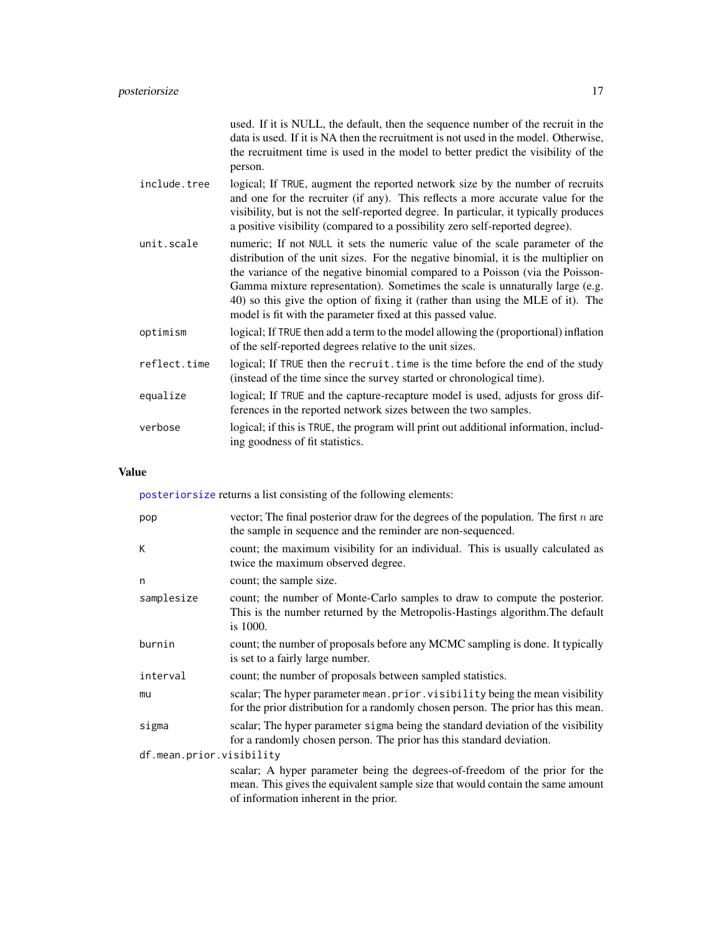<span id="page-16-0"></span>

|              | used. If it is NULL, the default, then the sequence number of the recruit in the<br>data is used. If it is NA then the recruitment is not used in the model. Otherwise,<br>the recruitment time is used in the model to better predict the visibility of the<br>person.                                                                                                                                                                                                                |
|--------------|----------------------------------------------------------------------------------------------------------------------------------------------------------------------------------------------------------------------------------------------------------------------------------------------------------------------------------------------------------------------------------------------------------------------------------------------------------------------------------------|
| include.tree | logical; If TRUE, augment the reported network size by the number of recruits<br>and one for the recruiter (if any). This reflects a more accurate value for the<br>visibility, but is not the self-reported degree. In particular, it typically produces<br>a positive visibility (compared to a possibility zero self-reported degree).                                                                                                                                              |
| unit.scale   | numeric; If not NULL it sets the numeric value of the scale parameter of the<br>distribution of the unit sizes. For the negative binomial, it is the multiplier on<br>the variance of the negative binomial compared to a Poisson (via the Poisson-<br>Gamma mixture representation). Sometimes the scale is unnaturally large (e.g.<br>40) so this give the option of fixing it (rather than using the MLE of it). The<br>model is fit with the parameter fixed at this passed value. |
| optimism     | logical; If TRUE then add a term to the model allowing the (proportional) inflation<br>of the self-reported degrees relative to the unit sizes.                                                                                                                                                                                                                                                                                                                                        |
| reflect.time | logical; If TRUE then the recruit. time is the time before the end of the study<br>(instead of the time since the survey started or chronological time).                                                                                                                                                                                                                                                                                                                               |
| equalize     | logical; If TRUE and the capture-recapture model is used, adjusts for gross dif-<br>ferences in the reported network sizes between the two samples.                                                                                                                                                                                                                                                                                                                                    |
| verbose      | logical; if this is TRUE, the program will print out additional information, includ-<br>ing goodness of fit statistics.                                                                                                                                                                                                                                                                                                                                                                |
|              |                                                                                                                                                                                                                                                                                                                                                                                                                                                                                        |

## Value

[posteriorsize](#page-10-1) returns a list consisting of the following elements:

| pop                      | vector; The final posterior draw for the degrees of the population. The first $n$ are<br>the sample in sequence and the reminder are non-sequenced.                                                    |
|--------------------------|--------------------------------------------------------------------------------------------------------------------------------------------------------------------------------------------------------|
| К                        | count; the maximum visibility for an individual. This is usually calculated as<br>twice the maximum observed degree.                                                                                   |
| n                        | count; the sample size.                                                                                                                                                                                |
| samplesize               | count; the number of Monte-Carlo samples to draw to compute the posterior.<br>This is the number returned by the Metropolis-Hastings algorithm. The default<br>is 1000.                                |
| burnin                   | count; the number of proposals before any MCMC sampling is done. It typically<br>is set to a fairly large number.                                                                                      |
| interval                 | count; the number of proposals between sampled statistics.                                                                                                                                             |
| mu                       | scalar; The hyper parameter mean.prior.visibility being the mean visibility<br>for the prior distribution for a randomly chosen person. The prior has this mean.                                       |
| sigma                    | scalar; The hyper parameter sigma being the standard deviation of the visibility<br>for a randomly chosen person. The prior has this standard deviation.                                               |
| df.mean.prior.visibility |                                                                                                                                                                                                        |
|                          | scalar; A hyper parameter being the degrees-of-freedom of the prior for the<br>mean. This gives the equivalent sample size that would contain the same amount<br>of information inherent in the prior. |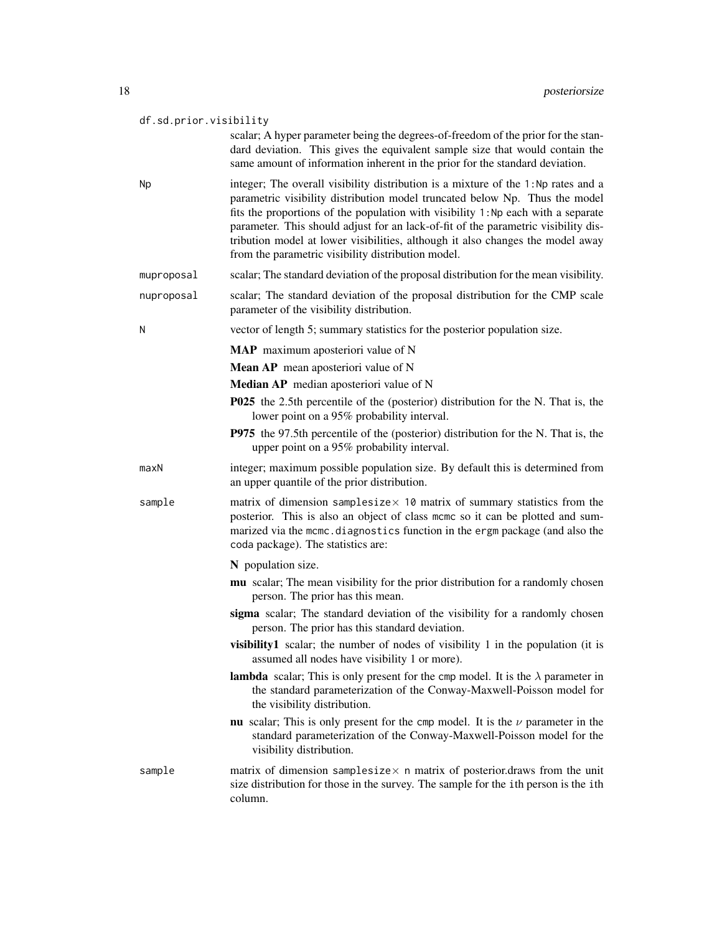#### df.sd.prior.visibility

scalar; A hyper parameter being the degrees-of-freedom of the prior for the standard deviation. This gives the equivalent sample size that would contain the same amount of information inherent in the prior for the standard deviation.

- Np integer; The overall visibility distribution is a mixture of the 1:Np rates and a parametric visibility distribution model truncated below Np. Thus the model fits the proportions of the population with visibility 1:Np each with a separate parameter. This should adjust for an lack-of-fit of the parametric visibility distribution model at lower visibilities, although it also changes the model away from the parametric visibility distribution model.
- muproposal scalar; The standard deviation of the proposal distribution for the mean visibility.
- nuproposal scalar; The standard deviation of the proposal distribution for the CMP scale parameter of the visibility distribution.
- N vector of length 5; summary statistics for the posterior population size.
	- MAP maximum aposteriori value of N
	- Mean AP mean aposteriori value of N
	- Median AP median aposteriori value of N
	- P025 the 2.5th percentile of the (posterior) distribution for the N. That is, the lower point on a 95% probability interval.
	- P975 the 97.5th percentile of the (posterior) distribution for the N. That is, the upper point on a 95% probability interval.
- maxN integer; maximum possible population size. By default this is determined from an upper quantile of the prior distribution.
- sample matrix of dimension samplesize $\times$  10 matrix of summary statistics from the posterior. This is also an object of class mcmc so it can be plotted and summarized via the mcmc.diagnostics function in the ergm package (and also the coda package). The statistics are:

#### N population size.

- mu scalar; The mean visibility for the prior distribution for a randomly chosen person. The prior has this mean.
- sigma scalar; The standard deviation of the visibility for a randomly chosen person. The prior has this standard deviation.
- visibility1 scalar; the number of nodes of visibility 1 in the population (it is assumed all nodes have visibility 1 or more).
- **lambda** scalar; This is only present for the cmp model. It is the  $\lambda$  parameter in the standard parameterization of the Conway-Maxwell-Poisson model for the visibility distribution.
- nu scalar; This is only present for the cmp model. It is the  $\nu$  parameter in the standard parameterization of the Conway-Maxwell-Poisson model for the visibility distribution.
- sample matrix of dimension samplesize $\times$  n matrix of posterior.draws from the unit size distribution for those in the survey. The sample for the ith person is the ith column.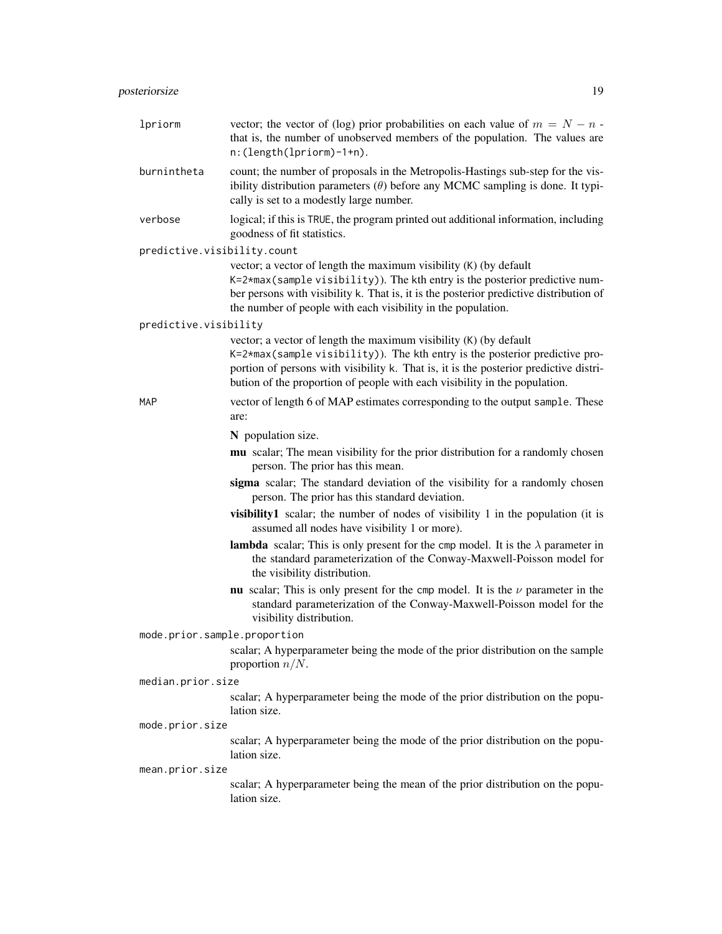| lpriorm                      | vector; the vector of (log) prior probabilities on each value of $m = N - n$ .<br>that is, the number of unobserved members of the population. The values are<br>$n: (length(1priorm)-1+n).$                                                                                                                            |
|------------------------------|-------------------------------------------------------------------------------------------------------------------------------------------------------------------------------------------------------------------------------------------------------------------------------------------------------------------------|
| burnintheta                  | count; the number of proposals in the Metropolis-Hastings sub-step for the vis-<br>ibility distribution parameters $(\theta)$ before any MCMC sampling is done. It typi-<br>cally is set to a modestly large number.                                                                                                    |
| verbose                      | logical; if this is TRUE, the program printed out additional information, including<br>goodness of fit statistics.                                                                                                                                                                                                      |
| predictive.visibility.count  |                                                                                                                                                                                                                                                                                                                         |
|                              | vector; a vector of length the maximum visibility (K) (by default<br>K=2*max(sample visibility)). The kth entry is the posterior predictive num-<br>ber persons with visibility k. That is, it is the posterior predictive distribution of<br>the number of people with each visibility in the population.              |
| predictive.visibility        |                                                                                                                                                                                                                                                                                                                         |
|                              | vector; a vector of length the maximum visibility (K) (by default<br>K=2*max(sample visibility)). The kth entry is the posterior predictive pro-<br>portion of persons with visibility k. That is, it is the posterior predictive distri-<br>bution of the proportion of people with each visibility in the population. |
| <b>MAP</b>                   | vector of length 6 of MAP estimates corresponding to the output sample. These<br>are:                                                                                                                                                                                                                                   |
|                              | N population size.                                                                                                                                                                                                                                                                                                      |
|                              | mu scalar; The mean visibility for the prior distribution for a randomly chosen<br>person. The prior has this mean.                                                                                                                                                                                                     |
|                              | sigma scalar; The standard deviation of the visibility for a randomly chosen<br>person. The prior has this standard deviation.                                                                                                                                                                                          |
|                              | visibility1 scalar; the number of nodes of visibility 1 in the population (it is<br>assumed all nodes have visibility 1 or more).                                                                                                                                                                                       |
|                              | <b>lambda</b> scalar; This is only present for the cmp model. It is the $\lambda$ parameter in<br>the standard parameterization of the Conway-Maxwell-Poisson model for<br>the visibility distribution.                                                                                                                 |
|                              | nu scalar; This is only present for the cmp model. It is the $\nu$ parameter in the<br>standard parameterization of the Conway-Maxwell-Poisson model for the<br>visibility distribution.                                                                                                                                |
| mode.prior.sample.proportion |                                                                                                                                                                                                                                                                                                                         |
|                              | scalar; A hyperparameter being the mode of the prior distribution on the sample<br>proportion $n/N$ .                                                                                                                                                                                                                   |
| median.prior.size            |                                                                                                                                                                                                                                                                                                                         |
|                              | scalar; A hyperparameter being the mode of the prior distribution on the popu-<br>lation size.                                                                                                                                                                                                                          |
| mode.prior.size              |                                                                                                                                                                                                                                                                                                                         |
|                              | scalar; A hyperparameter being the mode of the prior distribution on the popu-<br>lation size.                                                                                                                                                                                                                          |
| mean.prior.size              |                                                                                                                                                                                                                                                                                                                         |
|                              | scalar; A hyperparameter being the mean of the prior distribution on the popu-<br>lation size.                                                                                                                                                                                                                          |
|                              |                                                                                                                                                                                                                                                                                                                         |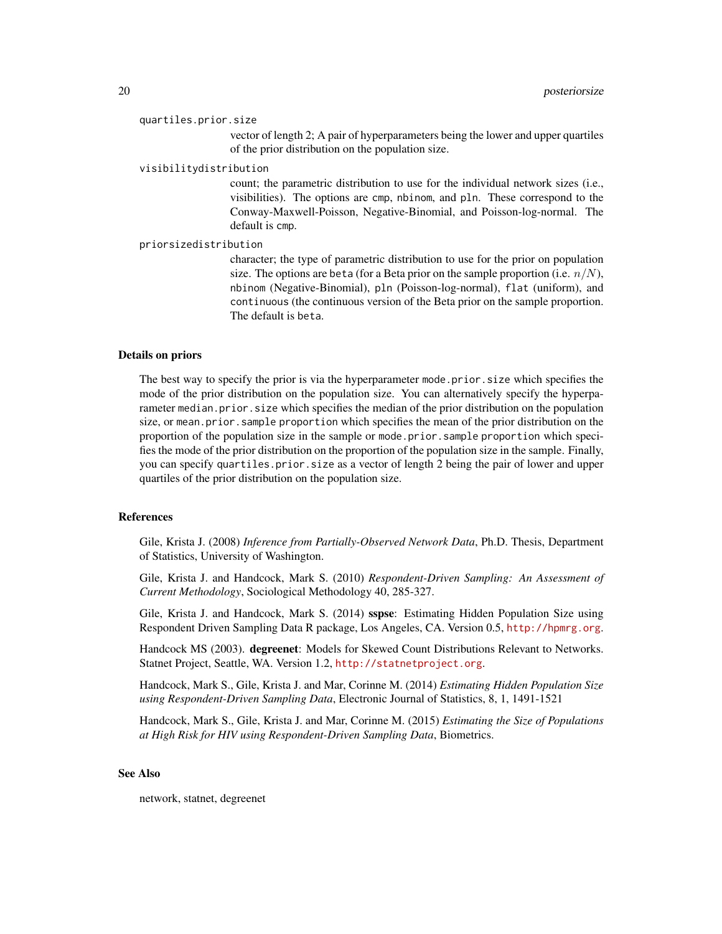quartiles.prior.size

vector of length 2; A pair of hyperparameters being the lower and upper quartiles of the prior distribution on the population size.

#### visibilitydistribution

count; the parametric distribution to use for the individual network sizes (i.e., visibilities). The options are cmp, nbinom, and pln. These correspond to the Conway-Maxwell-Poisson, Negative-Binomial, and Poisson-log-normal. The default is cmp.

#### priorsizedistribution

character; the type of parametric distribution to use for the prior on population size. The options are beta (for a Beta prior on the sample proportion (i.e.  $n/N$ ), nbinom (Negative-Binomial), pln (Poisson-log-normal), flat (uniform), and continuous (the continuous version of the Beta prior on the sample proportion. The default is beta.

#### Details on priors

The best way to specify the prior is via the hyperparameter mode.prior.size which specifies the mode of the prior distribution on the population size. You can alternatively specify the hyperparameter median.prior.size which specifies the median of the prior distribution on the population size, or mean.prior.sample proportion which specifies the mean of the prior distribution on the proportion of the population size in the sample or mode.prior.sample proportion which specifies the mode of the prior distribution on the proportion of the population size in the sample. Finally, you can specify quartiles.prior.size as a vector of length 2 being the pair of lower and upper quartiles of the prior distribution on the population size.

#### References

Gile, Krista J. (2008) *Inference from Partially-Observed Network Data*, Ph.D. Thesis, Department of Statistics, University of Washington.

Gile, Krista J. and Handcock, Mark S. (2010) *Respondent-Driven Sampling: An Assessment of Current Methodology*, Sociological Methodology 40, 285-327.

Gile, Krista J. and Handcock, Mark S. (2014) sspse: Estimating Hidden Population Size using Respondent Driven Sampling Data R package, Los Angeles, CA. Version 0.5, <http://hpmrg.org>.

Handcock MS (2003). degreenet: Models for Skewed Count Distributions Relevant to Networks. Statnet Project, Seattle, WA. Version 1.2, <http://statnetproject.org>.

Handcock, Mark S., Gile, Krista J. and Mar, Corinne M. (2014) *Estimating Hidden Population Size using Respondent-Driven Sampling Data*, Electronic Journal of Statistics, 8, 1, 1491-1521

Handcock, Mark S., Gile, Krista J. and Mar, Corinne M. (2015) *Estimating the Size of Populations at High Risk for HIV using Respondent-Driven Sampling Data*, Biometrics.

#### See Also

network, statnet, degreenet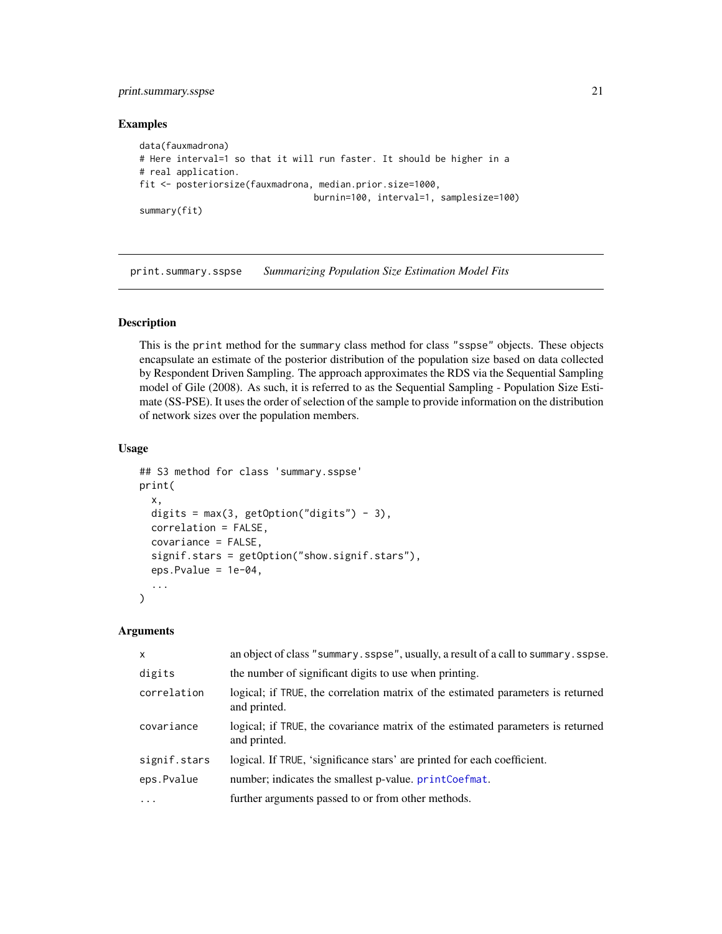## <span id="page-20-0"></span>print.summary.sspse 21

#### Examples

```
data(fauxmadrona)
# Here interval=1 so that it will run faster. It should be higher in a
# real application.
fit <- posteriorsize(fauxmadrona, median.prior.size=1000,
                                 burnin=100, interval=1, samplesize=100)
summary(fit)
```
print.summary.sspse *Summarizing Population Size Estimation Model Fits*

#### Description

This is the print method for the summary class method for class "sspse" objects. These objects encapsulate an estimate of the posterior distribution of the population size based on data collected by Respondent Driven Sampling. The approach approximates the RDS via the Sequential Sampling model of Gile (2008). As such, it is referred to as the Sequential Sampling - Population Size Estimate (SS-PSE). It uses the order of selection of the sample to provide information on the distribution of network sizes over the population members.

#### Usage

```
## S3 method for class 'summary.sspse'
print(
  x,
  digits = max(3, getOption("digits") - 3),correlation = FALSE,
  covariance = FALSE,
  signif.stars = getOption("show.signif.stars"),
  eps.Pvalue = 1e-04,
  ...
)
```
#### Arguments

| $\mathsf{x}$ | an object of class "summary. sspse", usually, a result of a call to summary. sspse.              |
|--------------|--------------------------------------------------------------------------------------------------|
| digits       | the number of significant digits to use when printing.                                           |
| correlation  | logical; if TRUE, the correlation matrix of the estimated parameters is returned<br>and printed. |
| covariance   | logical; if TRUE, the covariance matrix of the estimated parameters is returned<br>and printed.  |
| signif.stars | logical. If TRUE, 'significance stars' are printed for each coefficient.                         |
| eps.Pvalue   | number; indicates the smallest p-value. printCoefmat.                                            |
| .            | further arguments passed to or from other methods.                                               |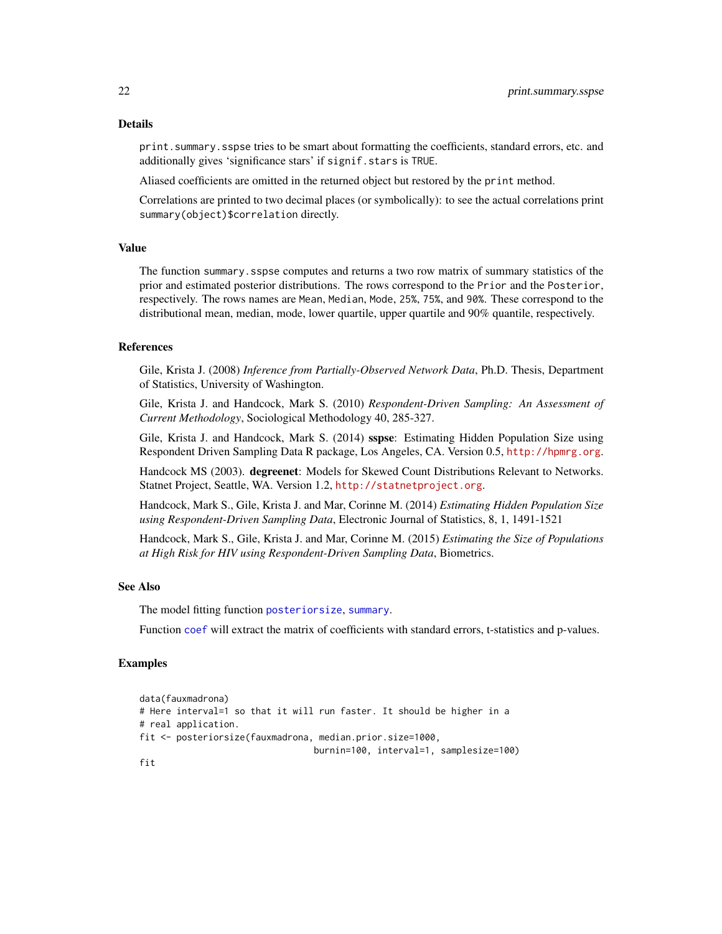print.summary.sspse tries to be smart about formatting the coefficients, standard errors, etc. and additionally gives 'significance stars' if signif.stars is TRUE.

Aliased coefficients are omitted in the returned object but restored by the print method.

Correlations are printed to two decimal places (or symbolically): to see the actual correlations print summary(object)\$correlation directly.

#### Value

The function summary.sspse computes and returns a two row matrix of summary statistics of the prior and estimated posterior distributions. The rows correspond to the Prior and the Posterior, respectively. The rows names are Mean, Median, Mode, 25%, 75%, and 90%. These correspond to the distributional mean, median, mode, lower quartile, upper quartile and 90% quantile, respectively.

#### References

Gile, Krista J. (2008) *Inference from Partially-Observed Network Data*, Ph.D. Thesis, Department of Statistics, University of Washington.

Gile, Krista J. and Handcock, Mark S. (2010) *Respondent-Driven Sampling: An Assessment of Current Methodology*, Sociological Methodology 40, 285-327.

Gile, Krista J. and Handcock, Mark S. (2014) sspse: Estimating Hidden Population Size using Respondent Driven Sampling Data R package, Los Angeles, CA. Version 0.5, <http://hpmrg.org>.

Handcock MS (2003). degreenet: Models for Skewed Count Distributions Relevant to Networks. Statnet Project, Seattle, WA. Version 1.2, <http://statnetproject.org>.

Handcock, Mark S., Gile, Krista J. and Mar, Corinne M. (2014) *Estimating Hidden Population Size using Respondent-Driven Sampling Data*, Electronic Journal of Statistics, 8, 1, 1491-1521

Handcock, Mark S., Gile, Krista J. and Mar, Corinne M. (2015) *Estimating the Size of Populations at High Risk for HIV using Respondent-Driven Sampling Data*, Biometrics.

#### See Also

The model fitting function [posteriorsize](#page-10-1), [summary](#page-0-0).

Function [coef](#page-0-0) will extract the matrix of coefficients with standard errors, t-statistics and p-values.

#### Examples

```
data(fauxmadrona)
# Here interval=1 so that it will run faster. It should be higher in a
# real application.
fit <- posteriorsize(fauxmadrona, median.prior.size=1000,
                                 burnin=100, interval=1, samplesize=100)
```
## fit

<span id="page-21-0"></span>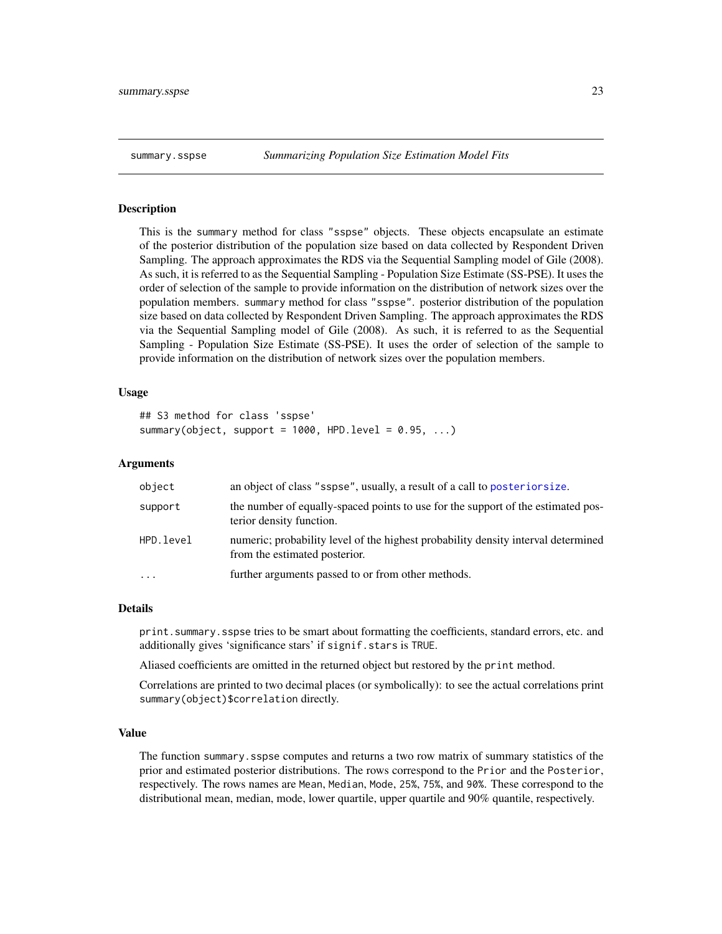#### <span id="page-22-0"></span>Description

This is the summary method for class "sspse" objects. These objects encapsulate an estimate of the posterior distribution of the population size based on data collected by Respondent Driven Sampling. The approach approximates the RDS via the Sequential Sampling model of Gile (2008). As such, it is referred to as the Sequential Sampling - Population Size Estimate (SS-PSE). It uses the order of selection of the sample to provide information on the distribution of network sizes over the population members. summary method for class "sspse". posterior distribution of the population size based on data collected by Respondent Driven Sampling. The approach approximates the RDS via the Sequential Sampling model of Gile (2008). As such, it is referred to as the Sequential Sampling - Population Size Estimate (SS-PSE). It uses the order of selection of the sample to provide information on the distribution of network sizes over the population members.

#### Usage

```
## S3 method for class 'sspse'
summary(object, support = 1000, HPD.level = 0.95, ...)
```
#### Arguments

| object    | an object of class "sspse", usually, a result of a call to posterior size.                                         |
|-----------|--------------------------------------------------------------------------------------------------------------------|
| support   | the number of equally-spaced points to use for the support of the estimated pos-<br>terior density function.       |
| HPD.level | numeric; probability level of the highest probability density interval determined<br>from the estimated posterior. |
| $\cdot$   | further arguments passed to or from other methods.                                                                 |

#### Details

print.summary.sspse tries to be smart about formatting the coefficients, standard errors, etc. and additionally gives 'significance stars' if signif.stars is TRUE.

Aliased coefficients are omitted in the returned object but restored by the print method.

Correlations are printed to two decimal places (or symbolically): to see the actual correlations print summary(object)\$correlation directly.

#### Value

The function summary.sspse computes and returns a two row matrix of summary statistics of the prior and estimated posterior distributions. The rows correspond to the Prior and the Posterior, respectively. The rows names are Mean, Median, Mode, 25%, 75%, and 90%. These correspond to the distributional mean, median, mode, lower quartile, upper quartile and 90% quantile, respectively.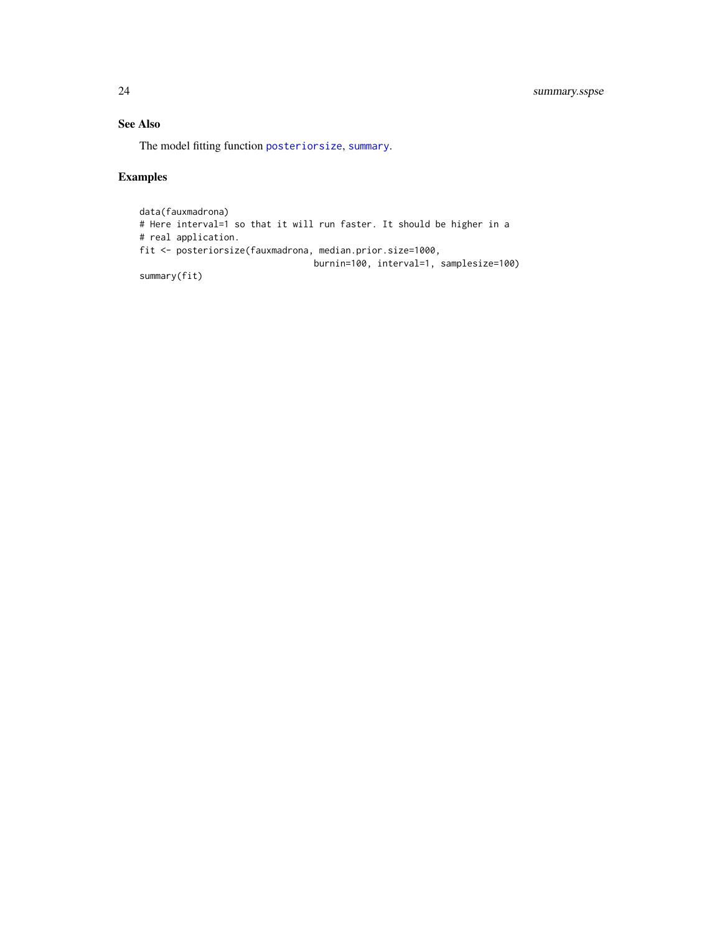## See Also

The model fitting function [posteriorsize](#page-10-1), [summary](#page-0-0).

## Examples

```
data(fauxmadrona)
# Here interval=1 so that it will run faster. It should be higher in a
# real application.
fit <- posteriorsize(fauxmadrona, median.prior.size=1000,
                                burnin=100, interval=1, samplesize=100)
summary(fit)
```
<span id="page-23-0"></span>